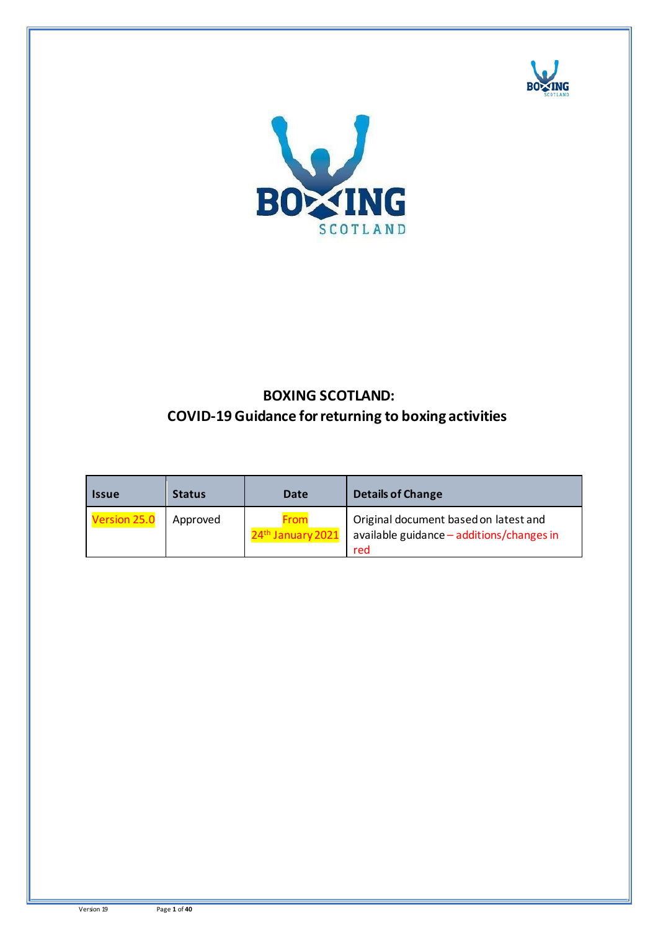



# **BOXING SCOTLAND: COVID-19 Guidance for returning to boxing activities**

| <b>Issue</b> | <b>Status</b> | Date                 | <b>Details of Change</b>                                                                  |
|--------------|---------------|----------------------|-------------------------------------------------------------------------------------------|
| Version 25.0 | Approved      | From<br>January 2021 | Original document based on latest and<br>available guidance - additions/changes in<br>red |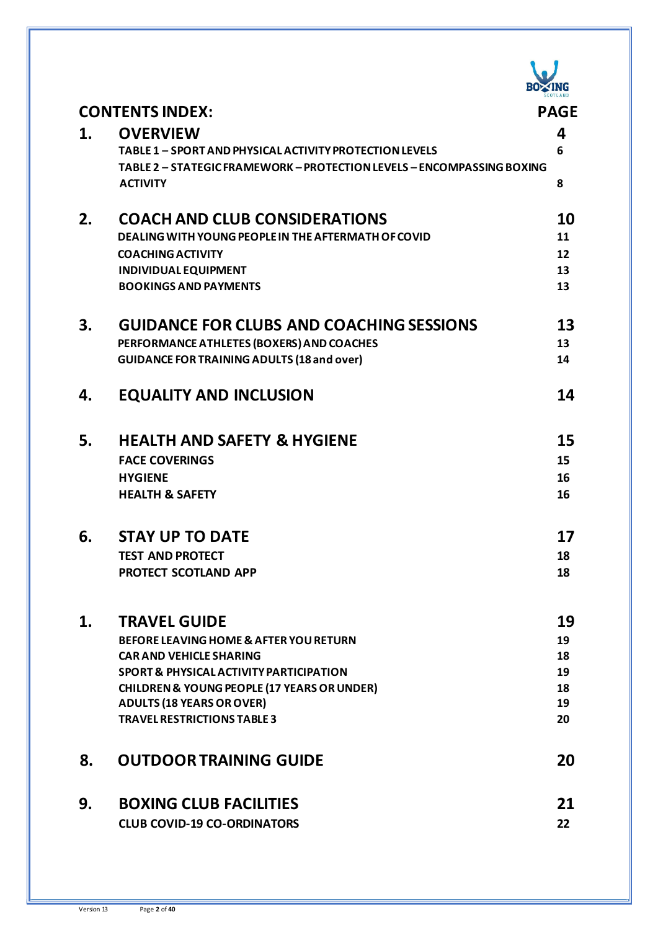

|    | <b>CONTENTS INDEX:</b>                                                 | <b>PAGE</b> |
|----|------------------------------------------------------------------------|-------------|
| 1. | <b>OVERVIEW</b>                                                        | 4           |
|    | TABLE 1 - SPORT AND PHYSICAL ACTIVITY PROTECTION LEVELS                | 6           |
|    | TABLE 2 - STATEGIC FRAMEWORK - PROTECTION LEVELS - ENCOMPASSING BOXING |             |
|    | <b>ACTIVITY</b>                                                        | 8           |
| 2. | <b>COACH AND CLUB CONSIDERATIONS</b>                                   | 10          |
|    | DEALING WITH YOUNG PEOPLE IN THE AFTERMATH OF COVID                    | 11          |
|    | <b>COACHING ACTIVITY</b>                                               | 12          |
|    | <b>INDIVIDUAL EQUIPMENT</b>                                            | 13          |
|    | <b>BOOKINGS AND PAYMENTS</b>                                           | 13          |
| 3. | <b>GUIDANCE FOR CLUBS AND COACHING SESSIONS</b>                        | 13          |
|    | PERFORMANCE ATHLETES (BOXERS) AND COACHES                              | 13          |
|    | <b>GUIDANCE FOR TRAINING ADULTS (18 and over)</b>                      | 14          |
| 4. | <b>EQUALITY AND INCLUSION</b>                                          | 14          |
| 5. | <b>HEALTH AND SAFETY &amp; HYGIENE</b>                                 | 15          |
|    | <b>FACE COVERINGS</b>                                                  | 15          |
|    | <b>HYGIENE</b>                                                         | 16          |
|    | <b>HEALTH &amp; SAFETY</b>                                             | 16          |
| 6. | <b>STAY UP TO DATE</b>                                                 | 17          |
|    | <b>TEST AND PROTECT</b>                                                | 18          |
|    | PROTECT SCOTLAND APP                                                   | 18          |
|    |                                                                        |             |
| 1. | <b>TRAVEL GUIDE</b>                                                    | 19          |
|    | <b>BEFORE LEAVING HOME &amp; AFTER YOU RETURN</b>                      | 19          |
|    | <b>CAR AND VEHICLE SHARING</b>                                         | 18          |
|    | <b>SPORT &amp; PHYSICAL ACTIVITY PARTICIPATION</b>                     | 19          |
|    | <b>CHILDREN &amp; YOUNG PEOPLE (17 YEARS OR UNDER)</b>                 | 18<br>19    |
|    | <b>ADULTS (18 YEARS OR OVER)</b><br><b>TRAVEL RESTRICTIONS TABLE 3</b> | 20          |
|    |                                                                        |             |
| 8. | <b>OUTDOOR TRAINING GUIDE</b>                                          | 20          |
| 9. | <b>BOXING CLUB FACILITIES</b>                                          | 21          |
|    | <b>CLUB COVID-19 CO-ORDINATORS</b>                                     | 22          |
|    |                                                                        |             |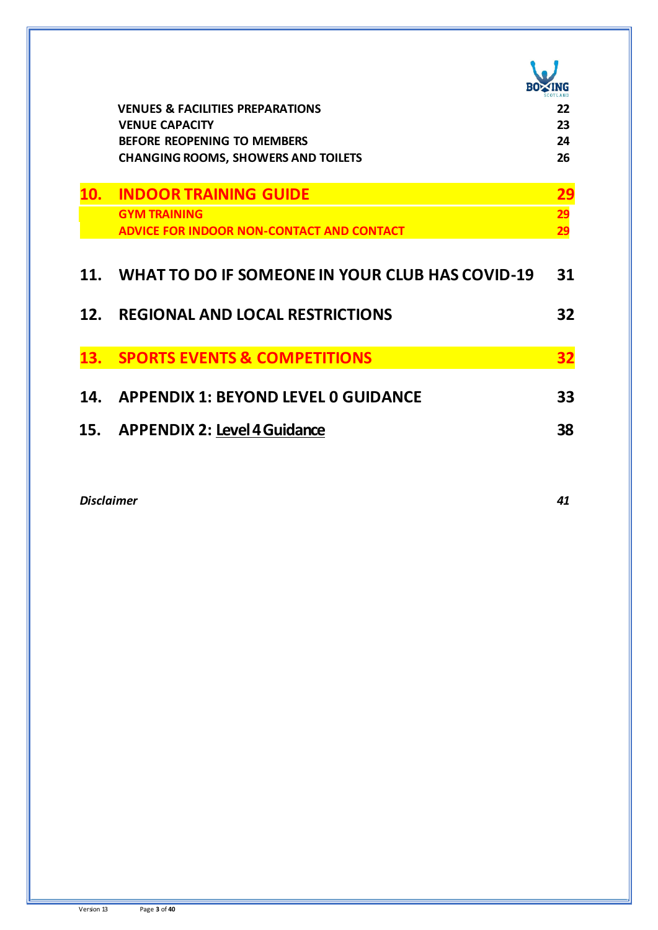|     | <b>VENUES &amp; FACILITIES PREPARATIONS</b>                 | 22         |
|-----|-------------------------------------------------------------|------------|
|     | <b>VENUE CAPACITY</b><br><b>BEFORE REOPENING TO MEMBERS</b> | 23<br>24   |
|     | <b>CHANGING ROOMS, SHOWERS AND TOILETS</b>                  | 26         |
|     |                                                             |            |
| 10. | <b>INDOOR TRAINING GUIDE</b>                                | <u> 29</u> |
|     | <b>GYM TRAINING</b>                                         | 29         |
|     | <b>ADVICE FOR INDOOR NON-CONTACT AND CONTACT</b>            | 29         |
|     |                                                             |            |
| 11. | WHAT TO DO IF SOMEONE IN YOUR CLUB HAS COVID-19             | 31         |
| 12. | <b>REGIONAL AND LOCAL RESTRICTIONS</b>                      | 32         |
|     |                                                             |            |
| 13. | <b>SPORTS EVENTS &amp; COMPETITIONS</b>                     | <u>32</u>  |
|     |                                                             |            |
| 14. | <b>APPENDIX 1: BEYOND LEVEL 0 GUIDANCE</b>                  | 33         |
| 15. | <b>APPENDIX 2: Level 4 Guidance</b>                         | 38         |
|     |                                                             |            |

*Disclaimer 41*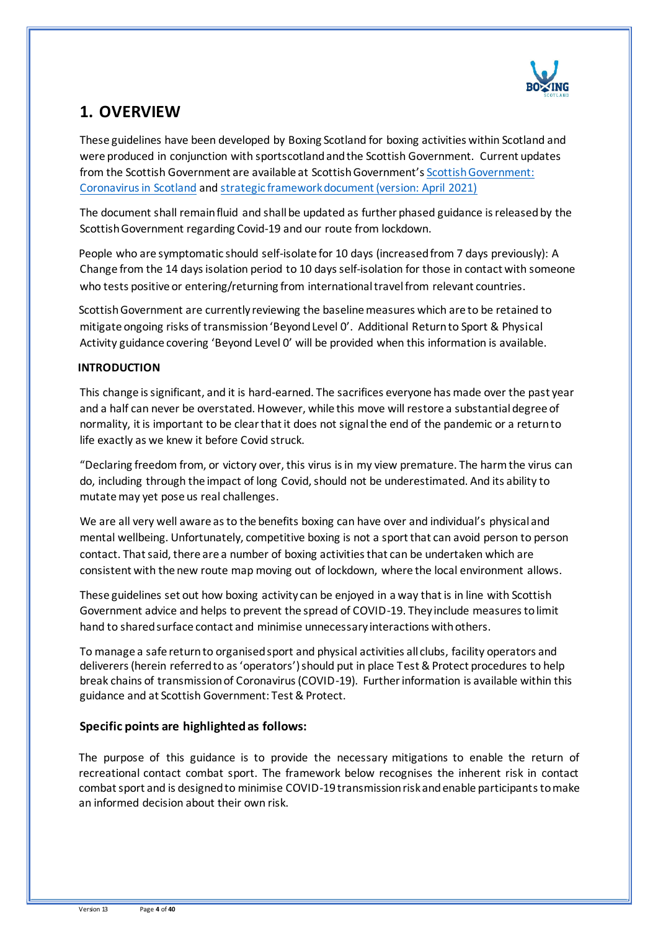

## **1. OVERVIEW**

These guidelines have been developed by Boxing Scotland for boxing activities within Scotland and were produced in conjunction with sportscotland and the Scottish Government. Current updates from the Scottish Government are available at Scottish Government's [Scottish Government:](http://www.gov.scot/coronavirus-covid-19/)  [Coronavirus in Scotland](http://www.gov.scot/coronavirus-covid-19/) and [strategic framework document \(version: April 2021\)](https://www.gov.scot/binaries/content/documents/govscot/publications/advice-and-guidance/2020/10/coronavirus-covid-19-protection-levels/documents/covid-19-protection-levels-summary-information-on-what-you-can-and-cannot-do/covid-19-protection-levels-summary-information-on-what-you-can-and-cannot-do/govscot%3Adocument/COVID-19%2Bprotection%2Blevels%2B-%2Bsummary%2Binformation%2Bon%2Bwhat%2Byou%2Bcan%2Band%2Bcannot%2Bdo%2B---.pdf)

The document shall remain fluid and shall be updated as further phased guidance is released by the Scottish Government regarding Covid-19 and our route from lockdown.

People who are symptomatic should self-isolate for 10 days (increased from 7 days previously): A Change from the 14 daysisolation period to 10 days self-isolation for those in contact with someone who tests positive or entering/returning from international travel from relevant countries.

Scottish Government are currently reviewing the baseline measures which are to be retained to mitigate ongoing risks of transmission 'Beyond Level 0'. Additional Return to Sport & Physical Activity guidance covering 'Beyond Level 0' will be provided when this information is available.

### **INTRODUCTION**

This change is significant, and it is hard-earned. The sacrifices everyone has made over the past year and a half can never be overstated. However, while this move will restore a substantial degree of normality, it is important to be clear that it does not signal the end of the pandemic or a return to life exactly as we knew it before Covid struck.

"Declaring freedom from, or victory over, this virus is in my view premature. The harm the virus can do, including through the impact of long Covid, should not be underestimated. And its ability to mutate may yet pose us real challenges.

We are all very well aware as to the benefits boxing can have over and individual's physical and mental wellbeing. Unfortunately, competitive boxing is not a sport that can avoid person to person contact. That said, there are a number of boxing activities that can be undertaken which are consistent with the new route map moving out of lockdown, where the local environment allows.

These guidelines set out how boxing activity can be enjoyed in a way that is in line with Scottish Government advice and helps to prevent the spread of COVID-19. They include measures to limit hand to shared surface contact and minimise unnecessary interactions with others.

To manage a safe return to organised sport and physical activities all clubs, facility operators and deliverers (herein referred to as 'operators') should put in place Test & Protect procedures to help break chains of transmission of Coronavirus (COVID-19). Further information is available within this guidance and at Scottish Government: Test & Protect.

## **Specific points are highlighted as follows:**

The purpose of this guidance is to provide the necessary mitigations to enable the return of recreational contact combat sport. The framework below recognises the inherent risk in contact combat sport and is designed to minimise COVID-19 transmission risk and enable participants to make an informed decision about their own risk.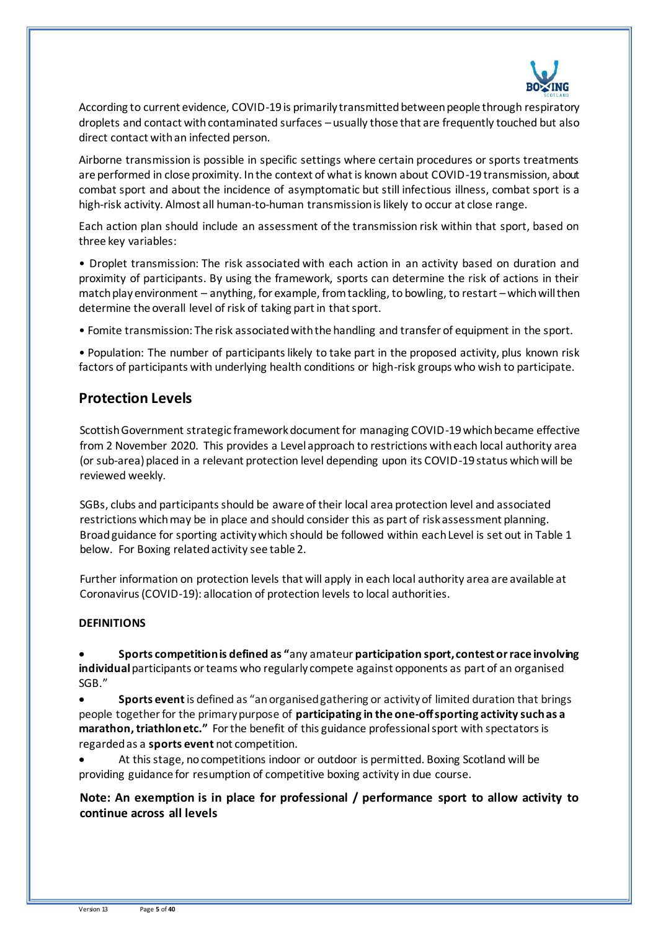

According to current evidence, COVID-19 is primarily transmitted between people through respiratory droplets and contact with contaminated surfaces – usually those that are frequently touched but also direct contact with an infected person.

Airborne transmission is possible in specific settings where certain procedures or sports treatments are performed in close proximity. In the context of what is known about COVID-19 transmission, about combat sport and about the incidence of asymptomatic but still infectious illness, combat sport is a high-risk activity. Almost all human-to-human transmission is likely to occur at close range.

Each action plan should include an assessment of the transmission risk within that sport, based on three key variables:

• Droplet transmission: The risk associated with each action in an activity based on duration and proximity of participants. By using the framework, sports can determine the risk of actions in their match play environment – anything, for example, from tackling, to bowling, to restart – which will then determine the overall level of risk of taking part in that sport.

• Fomite transmission: The risk associated with the handling and transfer of equipment in the sport.

• Population: The number of participants likely to take part in the proposed activity, plus known risk factors of participants with underlying health conditions or high-risk groups who wish to participate.

## **Protection Levels**

Scottish Government strategic framework document for managing COVID-19 which became effective from 2 November 2020. This provides a Level approach to restrictions with each local authority area (or sub-area) placed in a relevant protection level depending upon its COVID-19 status which will be reviewed weekly.

SGBs, clubs and participants should be aware of their local area protection level and associated restrictions which may be in place and should consider this as part of risk assessment planning. Broad guidance for sporting activity which should be followed within each Level is set out in Table 1 below. For Boxing related activity see table 2.

Further information on protection levels that will apply in each local authority area are available at Coronavirus (COVID-19): allocation of protection levels to local authorities.

### **DEFINITIONS**

• **Sports competition is defined as "**any amateur **participation sport, contest or race involving individual** participants or teams who regularly compete against opponents as part of an organised SGB."

• **Sports event**is defined as "an organised gathering or activity of limited duration that brings people together for the primary purpose of **participating in the one-off sporting activity such as a marathon, triathlon etc."** For the benefit of this guidance professional sport with spectators is regarded as a **sports event** not competition.

• At this stage, no competitions indoor or outdoor is permitted. Boxing Scotland will be providing guidance for resumption of competitive boxing activity in due course.

**Note: An exemption is in place for professional / performance sport to allow activity to continue across all levels**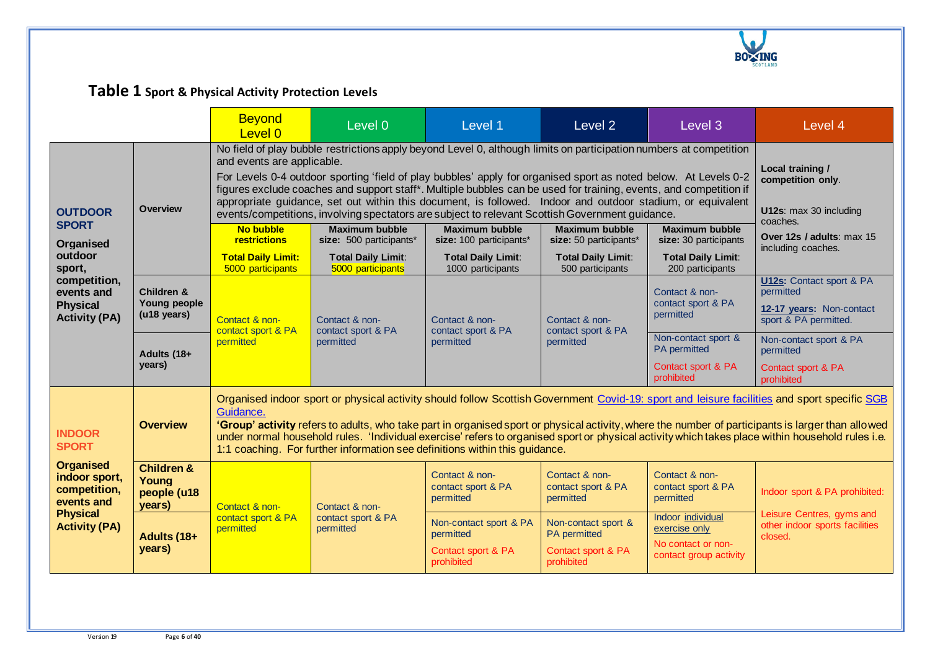

# **Table 1 Sport & Physical Activity Protection Levels**

|                                                                                                            |                                                         | Table 1 Sport & Physical Activity Protection Levels                                                                                                                                                                                                                                                                                                                                                                                                                                                                                                                                                       |                                                                                                                                                                                                                                                                                                                                                                                                                                                      |                                                                         |                                                                         |                                                                                    |                                                                                                   |
|------------------------------------------------------------------------------------------------------------|---------------------------------------------------------|-----------------------------------------------------------------------------------------------------------------------------------------------------------------------------------------------------------------------------------------------------------------------------------------------------------------------------------------------------------------------------------------------------------------------------------------------------------------------------------------------------------------------------------------------------------------------------------------------------------|------------------------------------------------------------------------------------------------------------------------------------------------------------------------------------------------------------------------------------------------------------------------------------------------------------------------------------------------------------------------------------------------------------------------------------------------------|-------------------------------------------------------------------------|-------------------------------------------------------------------------|------------------------------------------------------------------------------------|---------------------------------------------------------------------------------------------------|
|                                                                                                            |                                                         | <b>Beyond</b><br>Level 0                                                                                                                                                                                                                                                                                                                                                                                                                                                                                                                                                                                  | Level 0                                                                                                                                                                                                                                                                                                                                                                                                                                              | Level 1                                                                 | Level <sub>2</sub>                                                      | Level 3                                                                            | Level 4                                                                                           |
| <b>OUTDOOR</b>                                                                                             | <b>Overview</b>                                         | No field of play bubble restrictions apply beyond Level 0, although limits on participation numbers at competition<br>and events are applicable.<br>For Levels 0-4 outdoor sporting 'field of play bubbles' apply for organised sport as noted below. At Levels 0-2<br>figures exclude coaches and support staff*. Multiple bubbles can be used for training, events, and competition if<br>appropriate quidance, set out within this document, is followed. Indoor and outdoor stadium, or equivalent<br>events/competitions, involving spectators are subject to relevant Scottish Government guidance. | Local training /<br>competition only.<br>U12s: max 30 including<br>coaches.                                                                                                                                                                                                                                                                                                                                                                          |                                                                         |                                                                         |                                                                                    |                                                                                                   |
| <b>SPORT</b><br>Organised                                                                                  |                                                         | <b>No bubble</b><br>restrictions                                                                                                                                                                                                                                                                                                                                                                                                                                                                                                                                                                          | <b>Maximum bubble</b><br>size: 500 participants*                                                                                                                                                                                                                                                                                                                                                                                                     | <b>Maximum bubble</b><br>size: 100 participants*                        | <b>Maximum bubble</b><br>size: 50 participants*                         | <b>Maximum bubble</b><br>size: 30 participants                                     | Over 12s / adults: max 15                                                                         |
| outdoor<br>sport,                                                                                          |                                                         | <b>Total Daily Limit:</b><br>5000 participants                                                                                                                                                                                                                                                                                                                                                                                                                                                                                                                                                            | <b>Total Daily Limit:</b><br>5000 participants                                                                                                                                                                                                                                                                                                                                                                                                       | <b>Total Daily Limit:</b><br>1000 participants                          | <b>Total Daily Limit:</b><br>500 participants                           | <b>Total Daily Limit:</b><br>200 participants                                      | including coaches.                                                                                |
| competition,<br>events and<br><b>Physical</b><br><b>Activity (PA)</b>                                      | <b>Children &amp;</b><br>Young people<br>(u18 years)    | Contact & non-<br>contact sport & PA                                                                                                                                                                                                                                                                                                                                                                                                                                                                                                                                                                      | Contact & non-<br>contact sport & PA<br>permitted                                                                                                                                                                                                                                                                                                                                                                                                    | Contact & non-<br>contact sport & PA<br>permitted                       | Contact & non-<br>contact sport & PA<br>permitted                       | Contact & non-<br>contact sport & PA<br>permitted                                  | <b>U12s:</b> Contact sport & PA<br>permitted<br>12-17 years: Non-contact<br>sport & PA permitted. |
|                                                                                                            | Adults (18+<br>years)                                   | permitted                                                                                                                                                                                                                                                                                                                                                                                                                                                                                                                                                                                                 |                                                                                                                                                                                                                                                                                                                                                                                                                                                      |                                                                         |                                                                         | Non-contact sport &<br>PA permitted                                                | Non-contact sport & PA<br>permitted                                                               |
|                                                                                                            |                                                         |                                                                                                                                                                                                                                                                                                                                                                                                                                                                                                                                                                                                           |                                                                                                                                                                                                                                                                                                                                                                                                                                                      |                                                                         |                                                                         | Contact sport & PA<br>prohibited                                                   | Contact sport & PA<br>prohibited                                                                  |
| <b>INDOOR</b><br><b>SPORT</b>                                                                              | <b>Overview</b>                                         | Guidance.<br>1:1 coaching. For further information see definitions within this guidance.                                                                                                                                                                                                                                                                                                                                                                                                                                                                                                                  | Organised indoor sport or physical activity should follow Scottish Government Covid-19: sport and leisure facilities and sport specific SGB<br>'Group' activity refers to adults, who take part in organised sport or physical activity, where the number of participants is larger than allowed<br>under normal household rules. 'Individual exercise' refers to organised sport or physical activity which takes place within household rules i.e. |                                                                         |                                                                         |                                                                                    |                                                                                                   |
| <b>Organised</b><br>indoor sport,<br>competition,<br>events and<br><b>Physical</b><br><b>Activity (PA)</b> | <b>Children &amp;</b><br>Young<br>people (u18<br>years) | Contact & non-                                                                                                                                                                                                                                                                                                                                                                                                                                                                                                                                                                                            | Contact & non-                                                                                                                                                                                                                                                                                                                                                                                                                                       | Contact & non-<br>contact sport & PA<br>permitted                       | Contact & non-<br>contact sport & PA<br>permitted                       | Contact & non-<br>contact sport & PA<br>permitted                                  | Indoor sport & PA prohibited:                                                                     |
|                                                                                                            | Adults (18+<br>years)                                   | contact sport & PA<br>permitted                                                                                                                                                                                                                                                                                                                                                                                                                                                                                                                                                                           | contact sport & PA<br>permitted                                                                                                                                                                                                                                                                                                                                                                                                                      | Non-contact sport & PA<br>permitted<br>Contact sport & PA<br>prohibited | Non-contact sport &<br>PA permitted<br>Contact sport & PA<br>prohibited | Indoor individual<br>exercise only<br>No contact or non-<br>contact group activity | Leisure Centres, gyms and<br>other indoor sports facilities<br>closed.                            |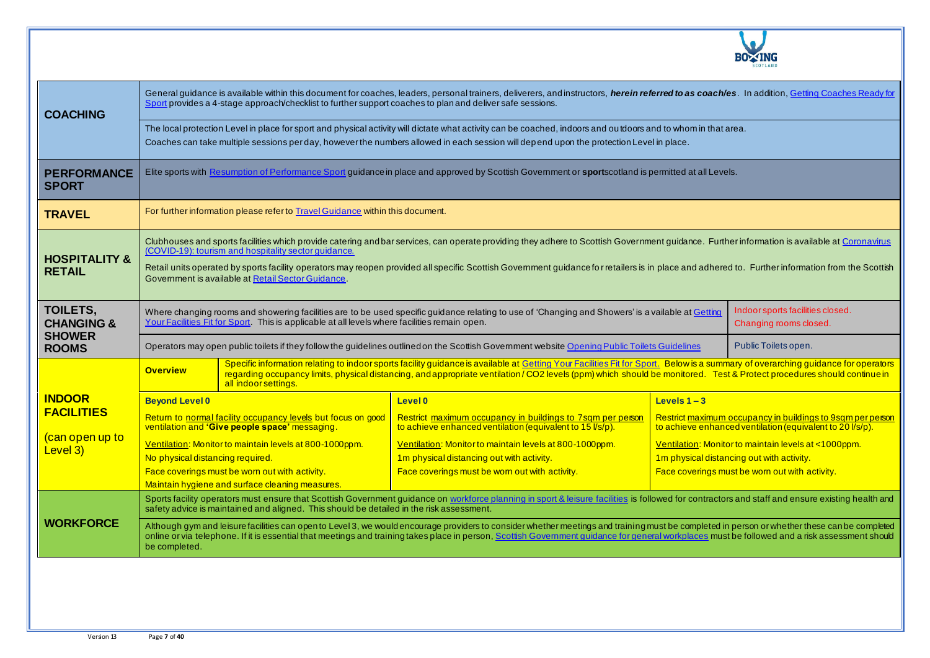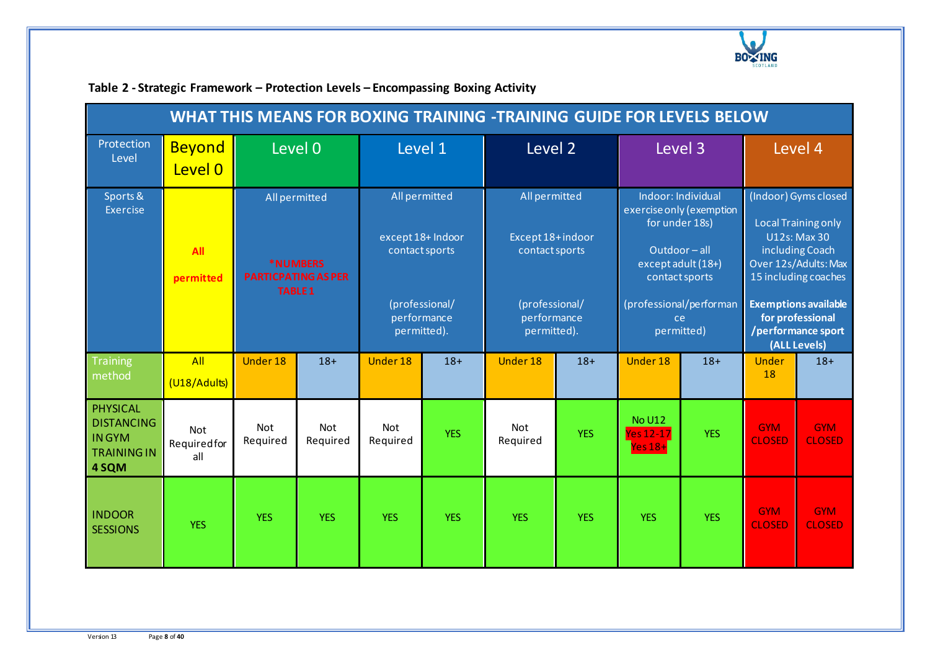

| <b>WHAT THIS MEANS FOR BOXING TRAINING -TRAINING GUIDE FOR LEVELS BELOW</b>         |                                  |                                                                                  |                        |                                                                                                                                                                                                                                                                                                                                                                                       |            |                 |            |                                               |                                                                                                                                                                                                                                       |                             |                             |  |
|-------------------------------------------------------------------------------------|----------------------------------|----------------------------------------------------------------------------------|------------------------|---------------------------------------------------------------------------------------------------------------------------------------------------------------------------------------------------------------------------------------------------------------------------------------------------------------------------------------------------------------------------------------|------------|-----------------|------------|-----------------------------------------------|---------------------------------------------------------------------------------------------------------------------------------------------------------------------------------------------------------------------------------------|-----------------------------|-----------------------------|--|
| Protection<br>Level                                                                 | <b>Beyond</b><br>Level 0         | Level 0                                                                          |                        | Level 1                                                                                                                                                                                                                                                                                                                                                                               |            | Level 2         |            | Level 3                                       |                                                                                                                                                                                                                                       | Level 4                     |                             |  |
| Sports &<br>Exercise                                                                | All<br>permitted                 | All permitted<br><b>*NUMBERS</b><br><b>PARTICPATING AS PER</b><br><b>TABLE 1</b> |                        | All permitted<br>Indoor: Individual<br>All permitted<br>exercise only (exemption<br>for under 18s)<br>except 18+ Indoor<br>Except 18+indoor<br>contact sports<br>contact sports<br>Outdoor-all<br>except adult (18+)<br>contact sports<br>(professional/performan<br>(professional/<br>(professional/<br>performance<br>performance<br>ce<br>permitted)<br>permitted).<br>permitted). |            |                 |            |                                               | (Indoor) Gyms closed<br><b>Local Training only</b><br><b>U12s: Max 30</b><br>including Coach<br>Over 12s/Adults: Max<br>15 including coaches<br><b>Exemptions available</b><br>for professional<br>/performance sport<br>(ALL Levels) |                             |                             |  |
| <b>Training</b><br>method                                                           | All<br>(U18/Adults)              | <b>Under 18</b>                                                                  | $18+$                  | <b>Under 18</b>                                                                                                                                                                                                                                                                                                                                                                       | $18+$      | Under 18        | $18+$      | Under 18                                      | $18+$                                                                                                                                                                                                                                 | <b>Under</b><br>18          | $18+$                       |  |
| <b>PHYSICAL</b><br><b>DISTANCING</b><br><b>INGYM</b><br><b>TRAINING IN</b><br>4 SQM | <b>Not</b><br>Requiredfor<br>all | Not<br>Required                                                                  | <b>Not</b><br>Required | Not<br>Required                                                                                                                                                                                                                                                                                                                                                                       | <b>YES</b> | Not<br>Required | <b>YES</b> | <b>No U12</b><br><b>Yes 12-17</b><br>$Yes18+$ | <b>YES</b>                                                                                                                                                                                                                            | <b>GYM</b><br><b>CLOSED</b> | <b>GYM</b><br><b>CLOSED</b> |  |
| <b>INDOOR</b><br><b>SESSIONS</b>                                                    | <b>YES</b>                       | <b>YES</b>                                                                       | <b>YES</b>             | <b>YES</b>                                                                                                                                                                                                                                                                                                                                                                            | <b>YES</b> | <b>YES</b>      | <b>YES</b> | <b>YES</b>                                    | <b>YES</b>                                                                                                                                                                                                                            | <b>GYM</b><br><b>CLOSED</b> | <b>GYM</b><br><b>CLOSED</b> |  |

## **Table 2 - Strategic Framework – Protection Levels – Encompassing Boxing Activity**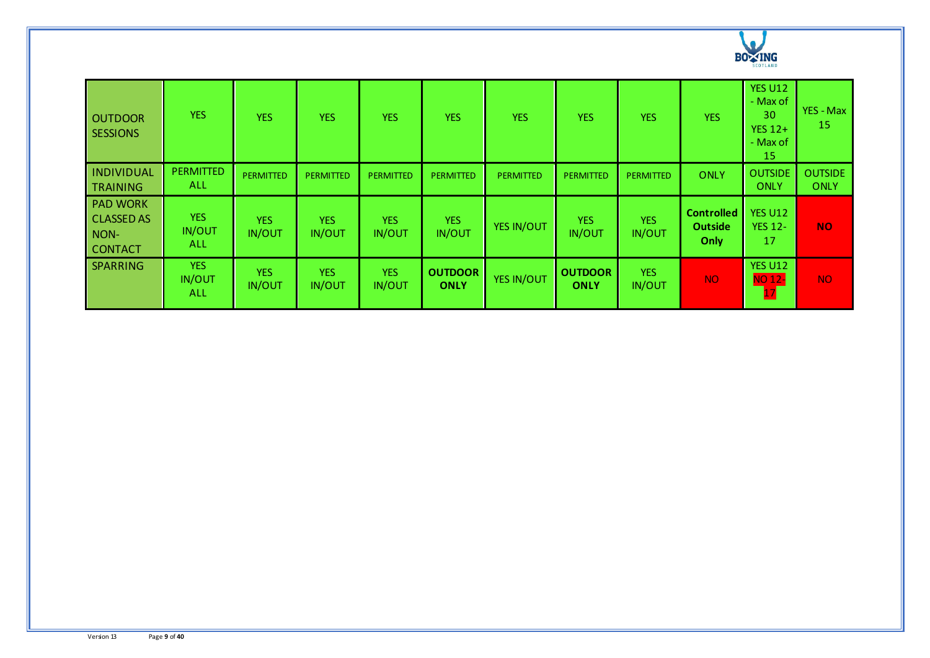

| <b>OUTDOOR</b><br><b>SESSIONS</b>                              | <b>YES</b>                         | <b>YES</b>                  | <b>YES</b>                  | <b>YES</b>                  | <b>YES</b>                    | <b>YES</b>       | <b>YES</b>                    | <b>YES</b>                  | <b>YES</b>                                  | <b>YES U12</b><br>- Max of<br>30<br>YES $12+$<br>- Max of<br>15 | YES - Max<br>15               |
|----------------------------------------------------------------|------------------------------------|-----------------------------|-----------------------------|-----------------------------|-------------------------------|------------------|-------------------------------|-----------------------------|---------------------------------------------|-----------------------------------------------------------------|-------------------------------|
| <b>INDIVIDUAL</b><br><b>TRAINING</b>                           | <b>PERMITTED</b><br><b>ALL</b>     | <b>PERMITTED</b>            | <b>PERMITTED</b>            | <b>PERMITTED</b>            | <b>PERMITTED</b>              | <b>PERMITTED</b> | <b>PERMITTED</b>              | <b>PERMITTED</b>            | <b>ONLY</b>                                 | <b>OUTSIDE</b><br>ONLY                                          | <b>OUTSIDE</b><br><b>ONLY</b> |
| <b>PAD WORK</b><br><b>CLASSED AS</b><br>NON-<br><b>CONTACT</b> | <b>YES</b><br>IN/OUT<br><b>ALL</b> | <b>YES</b><br><b>IN/OUT</b> | <b>YES</b><br><b>IN/OUT</b> | <b>YES</b><br><b>IN/OUT</b> | <b>YES</b><br><b>IN/OUT</b>   | YES IN/OUT       | <b>YES</b><br><b>IN/OUT</b>   | <b>YES</b><br>IN/OUT        | <b>Controlled</b><br><b>Outside</b><br>Only | <b>YES U12</b><br><b>YES 12-</b><br>17                          | <b>NO</b>                     |
| SPARRING                                                       | <b>YES</b><br><b>IN/OUT</b><br>ALL | <b>YES</b><br><b>IN/OUT</b> | <b>YES</b><br><b>IN/OUT</b> | <b>YES</b><br><b>IN/OUT</b> | <b>OUTDOOR</b><br><b>ONLY</b> | YES IN/OUT       | <b>OUTDOOR</b><br><b>ONLY</b> | <b>YES</b><br><b>IN/OUT</b> | <b>NO</b>                                   | <b>YES U12</b><br><b>NO 12-</b>                                 | NO <sub>1</sub>               |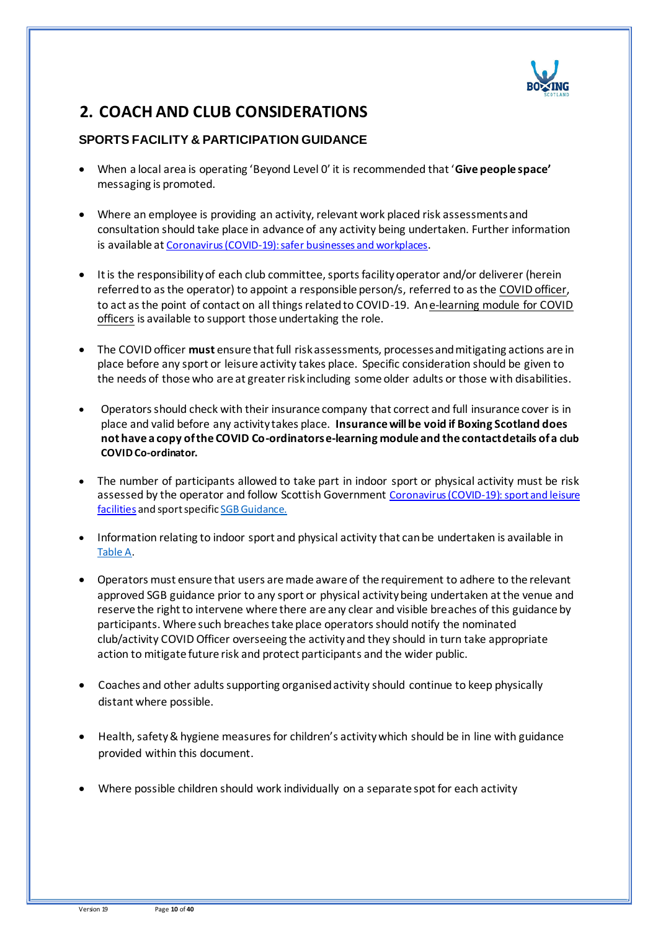

## **2. COACH AND CLUB CONSIDERATIONS**

## **SPORTS FACILITY & PARTICIPATION GUIDANCE**

- When a local area is operating 'Beyond Level 0' it is recommended that '**Give people space'** messaging is promoted.
- Where an employee is providing an activity, relevant work placed risk assessments and consultation should take place in advance of any activity being undertaken. Further information is available at [Coronavirus \(COVID-19\): safer businesses and workplaces](https://www.gov.scot/publications/coronavirus-covid-19-general-guidance-for-safer-workplaces/).
- It is the responsibility of each club committee, sports facility operator and/or deliverer (herein referred to as the operator) to appoint a responsible person/s, referred to as th[e COVID officer,](http://www.sportscotland.org.uk/media/5950/sportscotland-covid-officer.pdf) to act as the point of contact on all things related to COVID-19. A[n e-learning module for COVID](https://rise.articulate.com/share/LlEWUj-o23H_4gC1AF002jdxdrCucQC0#/)  [officers](https://rise.articulate.com/share/LlEWUj-o23H_4gC1AF002jdxdrCucQC0#/) is available to support those undertaking the role.
- The COVID officer **must** ensure that full risk assessments, processes and mitigating actions are in place before any sport or leisure activity takes place. Specific consideration should be given to the needs of those who are at greater risk including some older adults or those with disabilities.
- Operators should check with their insurance company that correct and full insurance cover is in place and valid before any activity takes place. **Insurance will be void if Boxing Scotland does not have a copy of the COVID Co-ordinators e-learning module and the contact details of a club COVID Co-ordinator.**
- The number of participants allowed to take part in indoor sport or physical activity must be risk assessed by the operator and follow Scottish Government [Coronavirus \(COVID-19\): sport and leisure](https://www.gov.scot/publications/coronavirus-covid-19-guidance-on-sport-and-leisure-facilities/)  [facilities](https://www.gov.scot/publications/coronavirus-covid-19-guidance-on-sport-and-leisure-facilities/) and sport specifi[c SGB Guidance.](https://sportscotland.org.uk/covid-19/latest-sport-and-physical-activity-guidance/)
- Information relating to indoor sport and physical activity that can be undertaken is available in Table A.
- Operators must ensure that users are made aware of the requirement to adhere to the relevant approved SGB guidance prior to any sport or physical activity being undertaken at the venue and reserve the right to intervene where there are any clear and visible breaches of this guidance by participants. Where such breaches take place operators should notify the nominated club/activity COVID Officer overseeing the activity and they should in turn take appropriate action to mitigate future risk and protect participants and the wider public.
- Coaches and other adults supporting organised activity should continue to keep physically distant where possible.
- Health, safety & hygiene measures for children's activity which should be in line with guidance provided within this document.
- Where possible children should work individually on a separate spot for each activity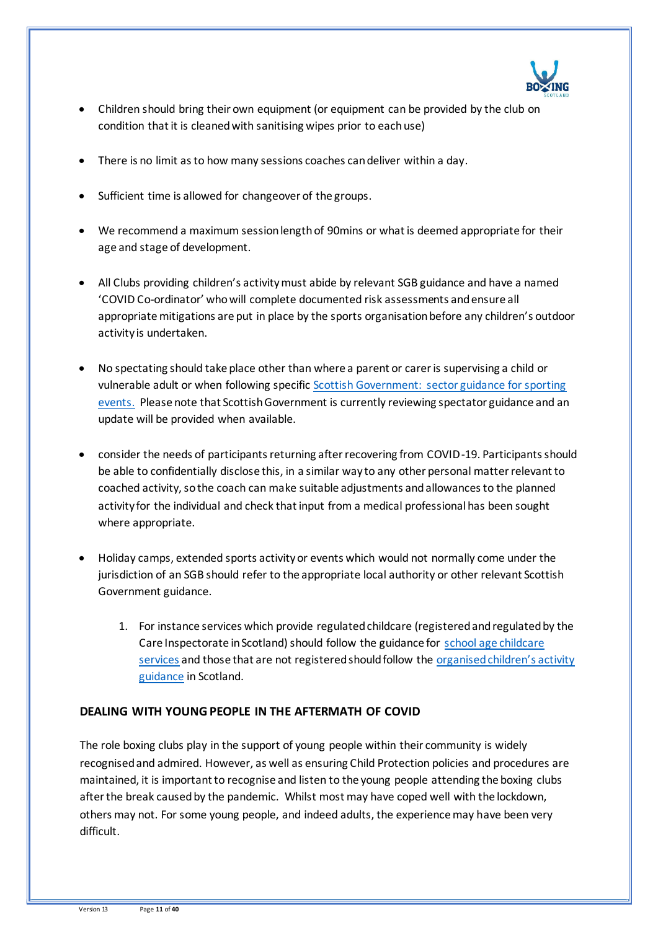

- Children should bring their own equipment (or equipment can be provided by the club on condition that it is cleaned with sanitising wipes prior to each use)
- There is no limit as to how many sessions coaches can deliver within a day.
- Sufficient time is allowed for changeover of the groups.
- We recommend a maximum session length of 90mins or what is deemed appropriate for their age and stage of development.
- All Clubs providing children's activity must abide by relevant SGB guidance and have a named 'COVID Co-ordinator' who will complete documented risk assessments and ensure all appropriate mitigations are put in place by the sports organisation before any children's outdoor activity is undertaken.
- No spectating should take place other than where a parent or carer is supervising a child or vulnerable adult or when following specific [Scottish Government: sector guidance for sporting](http://www.gov.scot/publications/coronavirus-covid-19-events-sector-guidance/)  [events.](http://www.gov.scot/publications/coronavirus-covid-19-events-sector-guidance/) Please note that Scottish Government is currently reviewing spectator guidance and an update will be provided when available.
- consider the needs of participants returning after recovering from COVID-19. Participants should be able to confidentially disclose this, in a similar way to any other personal matter relevant to coached activity, so the coach can make suitable adjustments and allowances to the planned activity for the individual and check that input from a medical professional has been sought where appropriate.
- Holiday camps, extended sports activity or events which would not normally come under the jurisdiction of an SGB should refer to the appropriate local authority or other relevant Scottish Government guidance.
	- 1. For instance services which provide regulated childcare (registered and regulated by the Care Inspectorate in Scotland) should follow the guidance for [school age childcare](https://protect-eu.mimecast.com/s/32OUCoYgxT9D2YI1gTJb?domain=gov.scot/)  [services](https://protect-eu.mimecast.com/s/32OUCoYgxT9D2YI1gTJb?domain=gov.scot/) and those that are not registered should follow the [organised children's activity](https://protect-eu.mimecast.com/s/YfeLCpgjytk94ohD7Nn7?domain=gov.scot/)  [guidance](https://protect-eu.mimecast.com/s/YfeLCpgjytk94ohD7Nn7?domain=gov.scot/) in Scotland.

### **DEALING WITH YOUNG PEOPLE IN THE AFTERMATH OF COVID**

The role boxing clubs play in the support of young people within their community is widely recognised and admired. However, as well as ensuring Child Protection policies and procedures are maintained, it is important to recognise and listen to the young people attending the boxing clubs after the break caused by the pandemic. Whilst most may have coped well with the lockdown, others may not. For some young people, and indeed adults, the experience may have been very difficult.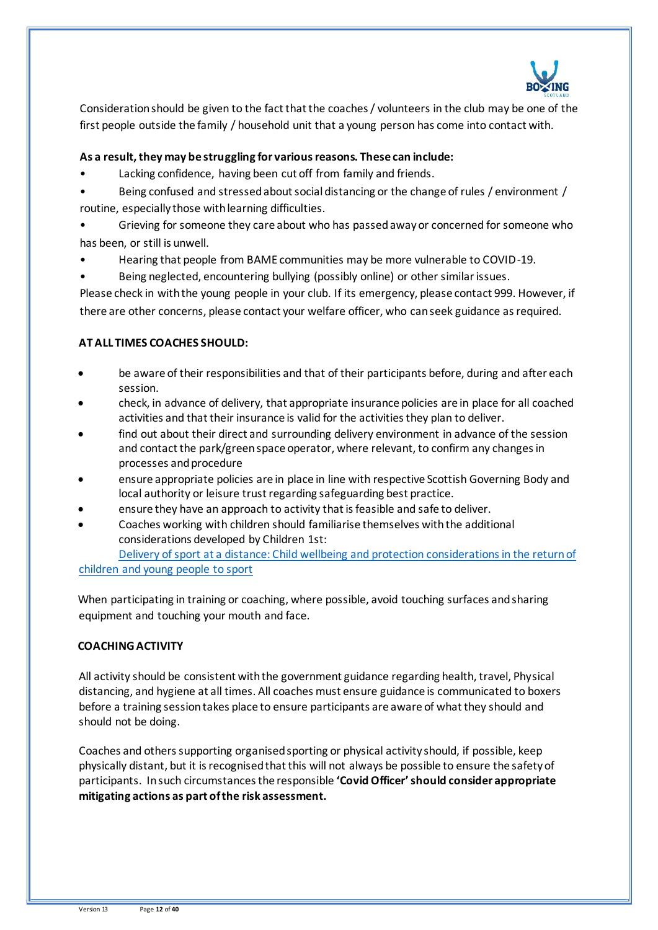

Consideration should be given to the fact that the coaches / volunteers in the club may be one of the first people outside the family / household unit that a young person has come into contact with.

#### **As a result, they may be struggling for various reasons. These can include:**

- Lacking confidence, having been cut off from family and friends.
- Being confused and stressed about social distancing or the change of rules / environment / routine, especially those with learning difficulties.
- Grieving for someone they care about who has passed away or concerned for someone who has been, or still is unwell.
- Hearing that people from BAME communities may be more vulnerable to COVID-19.
- Being neglected, encountering bullying (possibly online) or other similar issues.

Please check in with the young people in your club. If its emergency, please contact 999. However, if there are other concerns, please contact your welfare officer, who can seek guidance as required.

### **AT ALL TIMES COACHES SHOULD:**

- be aware of their responsibilities and that of their participants before, during and after each session.
- check, in advance of delivery, that appropriate insurance policies are in place for all coached activities and that their insurance is valid for the activities they plan to deliver.
- find out about their direct and surrounding delivery environment in advance of the session and contact the park/green space operator, where relevant, to confirm any changes in processes and procedure
- ensure appropriate policies are in place in line with respective Scottish Governing Body and local authority or leisure trust regarding safeguarding best practice.
- ensure they have an approach to activity that is feasible and safe to deliver.
- Coaches working with children should familiarise themselves with the additional considerations developed by Children 1st:

[Delivery of sport at a distance: Child wellbeing and protection considerations in the return of](https://sportscotland.org.uk/media/5774/cyp-return-to-sport-after-covid-19.pdf)  [children and young people to sport](https://sportscotland.org.uk/media/5774/cyp-return-to-sport-after-covid-19.pdf)

When participating in training or coaching, where possible, avoid touching surfaces and sharing equipment and touching your mouth and face.

#### **COACHING ACTIVITY**

All activity should be consistent with the government guidance regarding health, travel, Physical distancing, and hygiene at all times. All coaches must ensure guidance is communicated to boxers before a training session takes place to ensure participants are aware of what they should and should not be doing.

Coaches and others supporting organised sporting or physical activity should, if possible, keep physically distant, but it is recognised that this will not always be possible to ensure the safety of participants. In such circumstances the responsible **'Covid Officer' should consider appropriate mitigating actions as part of the risk assessment.**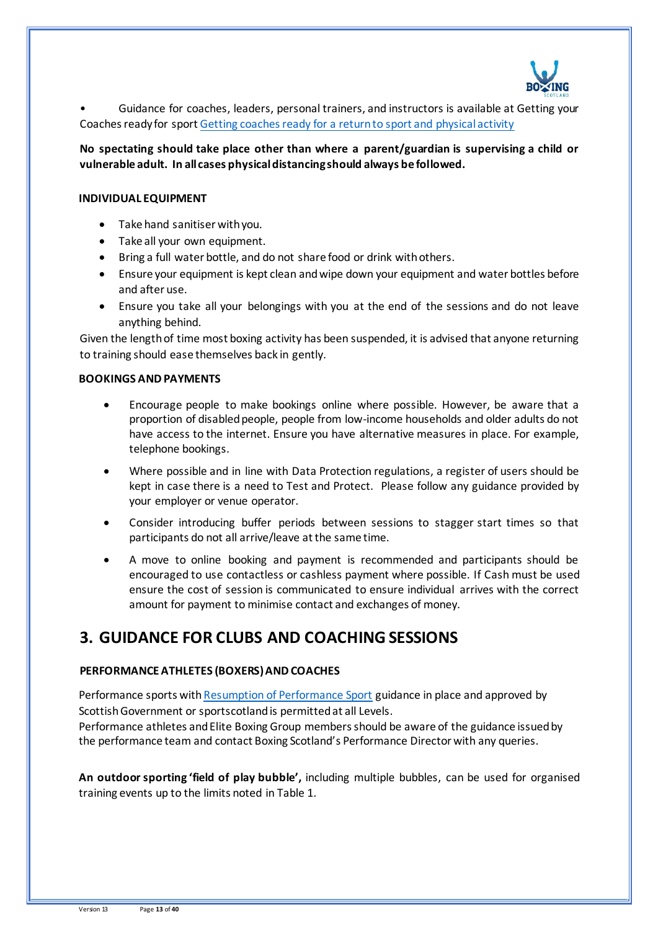

• Guidance for coaches, leaders, personal trainers, and instructors is available at Getting your Coaches ready for sport [Getting coaches ready for a return to sport and physical activity](https://sportscotland.org.uk/media/5948/phase-3-coaching-guidance-30th-july-final.pdf)

**No spectating should take place other than where a parent/guardian is supervising a child or vulnerable adult. In all cases physical distancing should always be followed.**

#### **INDIVIDUAL EQUIPMENT**

- Take hand sanitiser with you.
- Take all your own equipment.
- Bring a full water bottle, and do not share food or drink with others.
- Ensure your equipment is kept clean and wipe down your equipment and water bottles before and after use.
- Ensure you take all your belongings with you at the end of the sessions and do not leave anything behind.

Given the length of time most boxing activity has been suspended, it is advised that anyone returning to training should ease themselves back in gently.

#### **BOOKINGS AND PAYMENTS**

- Encourage people to make bookings online where possible. However, be aware that a proportion of disabled people, people from low-income households and older adults do not have access to the internet. Ensure you have alternative measures in place. For example, telephone bookings.
- Where possible and in line with Data Protection regulations, a register of users should be kept in case there is a need to Test and Protect. Please follow any guidance provided by your employer or venue operator.
- Consider introducing buffer periods between sessions to stagger start times so that participants do not all arrive/leave at the same time.
- A move to online booking and payment is recommended and participants should be encouraged to use contactless or cashless payment where possible. If Cash must be used ensure the cost of session is communicated to ensure individual arrives with the correct amount for payment to minimise contact and exchanges of money.

## **3. GUIDANCE FOR CLUBS AND COACHING SESSIONS**

#### **PERFORMANCE ATHLETES (BOXERS) AND COACHES**

Performance sports wit[h Resumption of Performance Sport](https://sportscotland.org.uk/covid-19/latest-sport-and-physical-activity-guidance/) guidance in place and approved by Scottish Government or sportscotland is permitted at all Levels.

Performance athletes and Elite Boxing Group members should be aware of the guidance issued by the performance team and contact Boxing Scotland's Performance Director with any queries.

**An outdoor sporting 'field of play bubble',** including multiple bubbles, can be used for organised training events up to the limits noted in Table 1.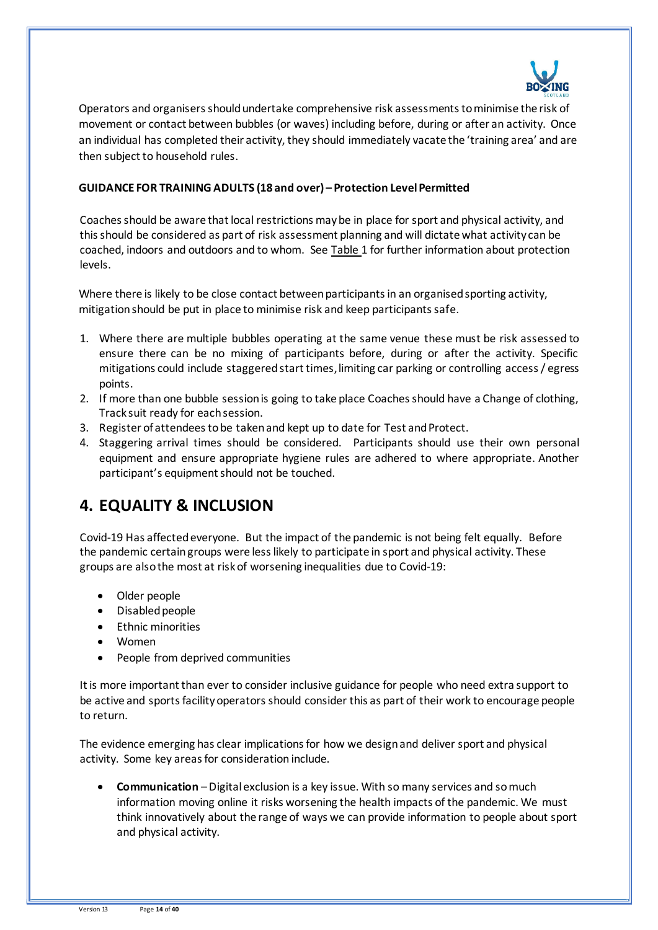

Operators and organisers should undertake comprehensive risk assessments to minimise the risk of movement or contact between bubbles (or waves) including before, during or after an activity. Once an individual has completed their activity, they should immediately vacate the 'training area' and are then subject to household rules.

#### **GUIDANCE FOR TRAINING ADULTS (18 and over) – Protection Level Permitted**

Coaches should be aware that local restrictions may be in place for sport and physical activity, and this should be considered as part of risk assessment planning and will dictate what activity can be coached, indoors and outdoors and to whom. See Table 1 for further information about protection levels.

Where there is likely to be close contact between participants in an organised sporting activity, mitigation should be put in place to minimise risk and keep participants safe.

- 1. Where there are multiple bubbles operating at the same venue these must be risk assessed to ensure there can be no mixing of participants before, during or after the activity. Specific mitigations could include staggered start times, limiting car parking or controlling access / egress points.
- 2. If more than one bubble session is going to take place Coaches should have a Change of clothing, Track suit ready for each session.
- 3. Register of attendees to be taken and kept up to date for Test and Protect.
- 4. Staggering arrival times should be considered. Participants should use their own personal equipment and ensure appropriate hygiene rules are adhered to where appropriate. Another participant's equipment should not be touched.

## **4. EQUALITY & INCLUSION**

Covid-19 Has affected everyone. But the impact of the pandemic is not being felt equally. Before the pandemic certain groups were less likely to participate in sport and physical activity. These groups are also the most at risk of worsening inequalities due to Covid-19:

- Older people
- Disabled people
- Ethnic minorities
- Women
- People from deprived communities

It is more important than ever to consider inclusive guidance for people who need extra support to be active and sports facility operators should consider this as part of their work to encourage people to return.

The evidence emerging has clear implications for how we design and deliver sport and physical activity. Some key areas for consideration include.

• **Communication** –Digital exclusion is a key issue. With so many services and so much information moving online it risks worsening the health impacts of the pandemic. We must think innovatively about the range of ways we can provide information to people about sport and physical activity.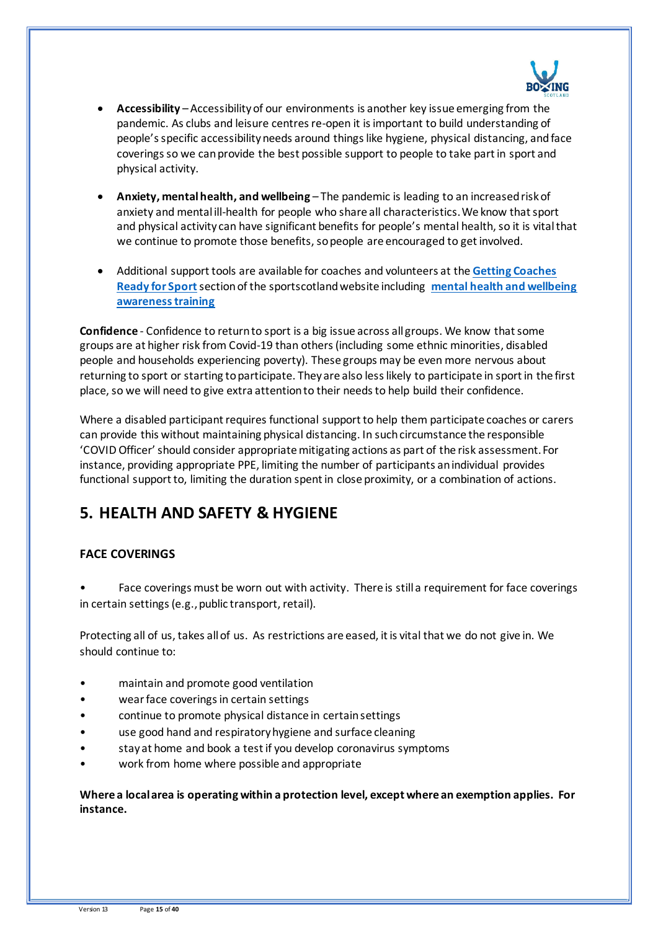

- **Accessibility** Accessibility of our environments is another key issue emerging from the pandemic. As clubs and leisure centres re-open it isimportant to build understanding of people's specific accessibility needs around things like hygiene, physical distancing, and face coverings so we can provide the best possible support to people to take part in sport and physical activity.
- **Anxiety, mental health, and wellbeing** The pandemic is leading to an increased risk of anxiety and mental ill-health for people who share all characteristics. We know that sport and physical activity can have significant benefits for people's mental health, so it is vital that we continue to promote those benefits, so people are encouraged to get involved.
- Additional support tools are available for coaches and volunteers at the **[Getting Coaches](https://sportscotland.org.uk/covid-19/getting-coaches-ready-for-sport/)  [Ready for Sport](https://sportscotland.org.uk/covid-19/getting-coaches-ready-for-sport/)**section of the sportscotland website including **[mental health and wellbeing](https://sportscotland.info/mentalhealth/#/)  [awareness training](https://sportscotland.info/mentalhealth/#/)**

**Confidence** - Confidence to return to sport is a big issue across all groups. We know that some groups are at higher risk from Covid-19 than others (including some ethnic minorities, disabled people and households experiencing poverty). These groups may be even more nervous about returning to sport or starting to participate. They are also less likely to participate in sport in the first place, so we will need to give extra attention to their needs to help build their confidence.

Where a disabled participant requires functional support to help them participate coaches or carers can provide this without maintaining physical distancing. In such circumstance the responsible 'COVID Officer' should consider appropriate mitigating actions as part of the risk assessment. For instance, providing appropriate PPE, limiting the number of participants an individual provides functional support to, limiting the duration spent in close proximity, or a combination of actions.

## **5. HEALTH AND SAFETY & HYGIENE**

## **FACE COVERINGS**

• Face coverings must be worn out with activity. There is still a requirement for face coverings in certain settings (e.g., public transport, retail).

Protecting all of us, takes all of us. As restrictions are eased, it is vital that we do not give in. We should continue to:

- maintain and promote good ventilation
- wear face coverings in certain settings
- continue to promote physical distance in certain settings
- use good hand and respiratory hygiene and surface cleaning
- stay at home and book a test if you develop coronavirus symptoms
- work from home where possible and appropriate

**Where a local area is operating within a protection level, except where an exemption applies. For instance.**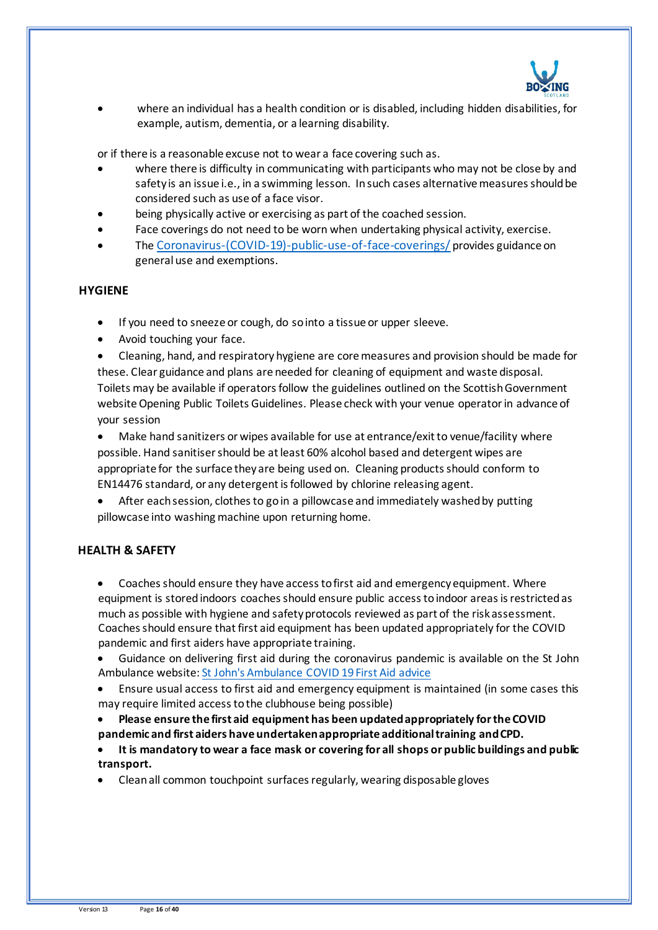

• where an individual has a health condition or is disabled, including hidden disabilities, for example, autism, dementia, or a learning disability.

or if there is a reasonable excuse not to wear a face covering such as.

- where there is difficulty in communicating with participants who may not be close by and safety is an issue i.e., in a swimming lesson. In such cases alternative measures should be considered such as use of a face visor.
- being physically active or exercising as part of the coached session.
- Face coverings do not need to be worn when undertaking physical activity, exercise.
- The [Coronavirus-\(COVID-19\)-public-use-of-face-coverings/](https://www.gov.scot/publications/coronavirus-covid-19-public-use-of-face-coverings/) provides guidance on general use and exemptions.

#### **HYGIENE**

- If you need to sneeze or cough, do so into a tissue or upper sleeve.
- Avoid touching your face.

• Cleaning, hand, and respiratory hygiene are core measures and provision should be made for these. Clear guidance and plans are needed for cleaning of equipment and waste disposal. Toilets may be available if operators follow the guidelines outlined on the Scottish Government website Opening Public Toilets Guidelines. Please check with your venue operator in advance of your session

• Make hand sanitizers or wipes available for use at entrance/exit to venue/facility where possible. Hand sanitiser should be at least 60% alcohol based and detergent wipes are appropriate for the surface they are being used on. Cleaning products should conform to EN14476 standard, or any detergent is followed by chlorine releasing agent.

After each session, clothes to go in a pillowcase and immediately washed by putting pillowcase into washing machine upon returning home.

#### **HEALTH & SAFETY**

• Coaches should ensure they have access to first aid and emergency equipment. Where equipment is stored indoors coaches should ensure public access to indoor areas is restricted as much as possible with hygiene and safety protocols reviewed as part of the risk assessment. Coaches should ensure that first aid equipment has been updated appropriately for the COVID pandemic and first aiders have appropriate training.

• Guidance on delivering first aid during the coronavirus pandemic is available on the St John Ambulance website[: St John's Ambulance COVID 19 First Aid advice](https://www.sja.org.uk/get-advice/first-aid-advice/covid-19-advice-for-first-aiders/)

• Ensure usual access to first aid and emergency equipment is maintained (in some cases this may require limited access to the clubhouse being possible)

• **Please ensure the first aid equipment has been updated appropriately for the COVID pandemic and first aiders have undertaken appropriate additional training and CPD.** 

• **It is mandatory to wear a face mask or covering for all shops or public buildings and public transport.**

• Clean all common touchpoint surfaces regularly, wearing disposable gloves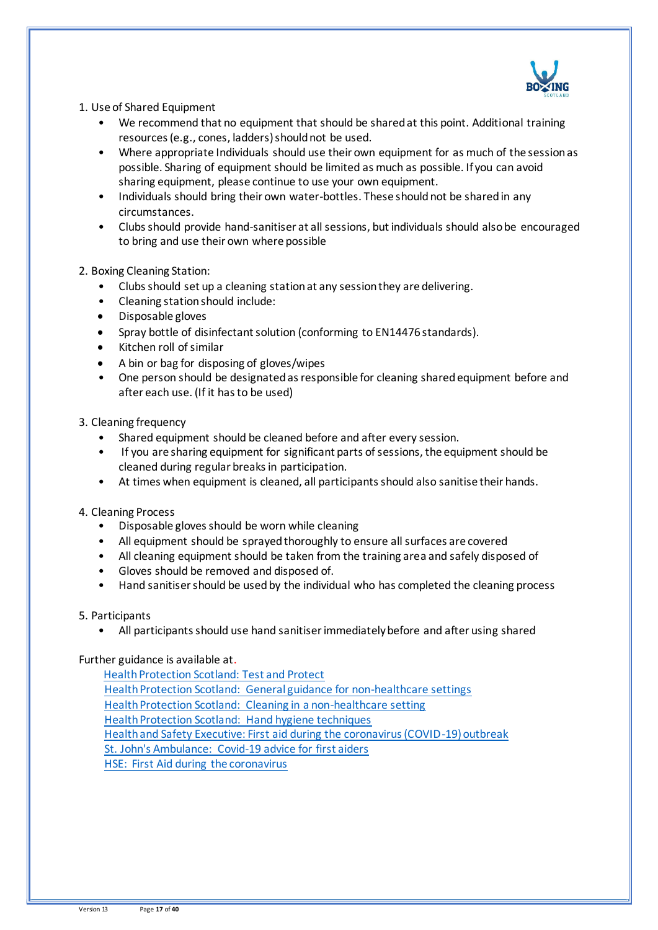

#### 1. Use of Shared Equipment

- We recommend that no equipment that should be shared at this point. Additional training resources (e.g., cones, ladders) should not be used.
- Where appropriate Individuals should use their own equipment for as much of the session as possible. Sharing of equipment should be limited as much as possible. If you can avoid sharing equipment, please continue to use your own equipment.
- Individuals should bring their own water-bottles. These should not be shared in any circumstances.
- Clubs should provide hand-sanitiser at all sessions, but individuals should also be encouraged to bring and use their own where possible

#### 2. Boxing Cleaning Station:

- Clubs should set up a cleaning station at any session they are delivering.
- Cleaning station should include:
- Disposable gloves
- Spray bottle of disinfectant solution (conforming to EN14476 standards).
- Kitchen roll of similar
- A bin or bag for disposing of gloves/wipes
- One person should be designated as responsible for cleaning shared equipment before and after each use. (If it has to be used)

#### 3. Cleaning frequency

- Shared equipment should be cleaned before and after every session.
- If you are sharing equipment for significant parts of sessions, the equipment should be cleaned during regular breaks in participation.
- At times when equipment is cleaned, all participants should also sanitise their hands.

#### 4. Cleaning Process

- Disposable gloves should be worn while cleaning
- All equipment should be sprayed thoroughly to ensure all surfaces are covered
- All cleaning equipment should be taken from the training area and safely disposed of
- Gloves should be removed and disposed of.
- Hand sanitiser should be used by the individual who has completed the cleaning process

#### 5. Participants

• All participants should use hand sanitiser immediately before and after using shared

### Further guidance is available at.

[Health Protection Scotland: Test and Protect](https://www.gov.scot/publications/coronavirus-covid-19-test-and-protect/) [Health Protection Scotland: General guidance for non-healthcare settings](http://www.hps.scot.nhs.uk/web-resources-container/covid-19-guidance-for-non-healthcare-settings/) [Health Protection Scotland: Cleaning in a non-healthcare setting](http://www.gov.uk/government/publications/covid-19-decontamination-in-non-healthcare-settings/covid-19-decontamination-in-non-healthcare-settings) [Health Protection Scotland: Hand hygiene techniques](http://www.hps.scot.nhs.uk/a-to-z-of-topics/hand-hygiene/) [Health and Safety Executive: First aid during the coronavirus \(COVID-19\) outbreak](https://www.hse.gov.uk/coronavirus/first-aid-and-medicals/first-aid-certificate-coronavirus.htm) [St. John's Ambulance: Covid-19 advice for first aiders](http://www.sja.org.uk/get-advice/first-aid-advice/covid-19-advice-for-first-aiders/) [HSE: First Aid during](http://www.hse.gov.uk/coronavirus/first-aid-and-medicals/first-aid-certificate-coronavirus.htm) the coronavirus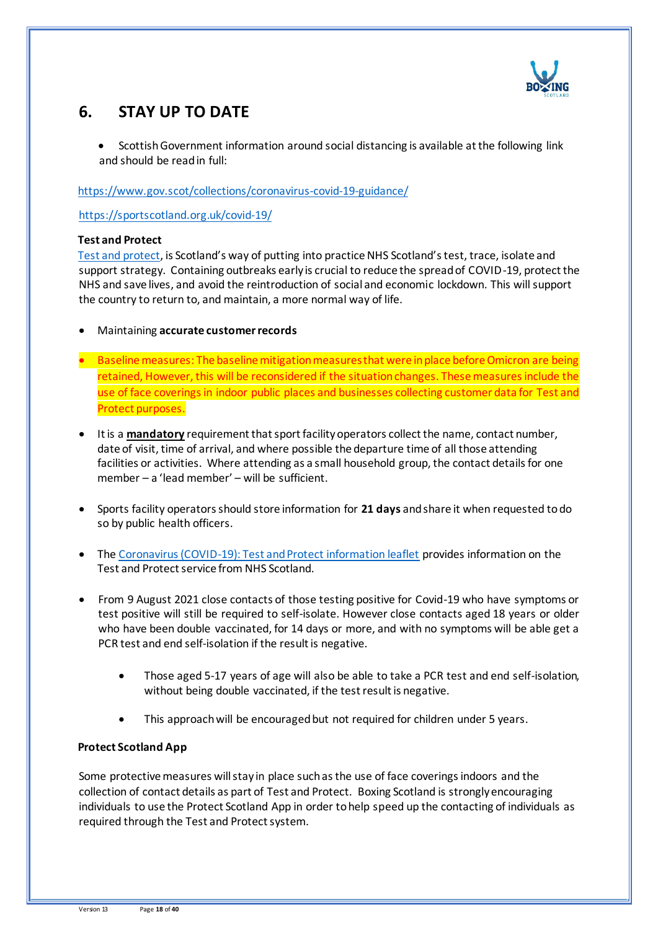

# **6. STAY UP TO DATE**

• Scottish Government information around social distancing is available at the following link and should be read in full:

<https://www.gov.scot/collections/coronavirus-covid-19-guidance/>

<https://sportscotland.org.uk/covid-19/>

#### **Test and Protect**

[Test and protect,](https://www.nhsinform.scot/campaigns/test-and-protect) is Scotland's way of putting into practice NHS Scotland's test, trace, isolate and support strategy. Containing outbreaks early is crucial to reduce the spread of COVID-19, protect the NHS and save lives, and avoid the reintroduction of social and economic lockdown. This will support the country to return to, and maintain, a more normal way of life.

- Maintaining **accurate customer records**
- Baseline measures: The baseline mitigation measures that were in place before Omicron are being retained, However, this will be reconsidered if the situation changes. These measures include the use of face coverings in indoor public places and businesses collecting customer data for Test and Protect purposes.
- It is a **mandatory** requirement that sport facility operators collect the name, contact number, date of visit, time of arrival, and where possible the departure time of all those attending facilities or activities. Where attending as a small household group, the contact details for one member – a 'lead member' – will be sufficient.
- Sports facility operators should store information for **21 days** and share it when requested to do so by public health officers.
- The [Coronavirus \(COVID-19\): Test and Protect information leaflet](https://www.gov.scot/publications/coronavirus-covid-19-test-and-protect-coronavirus-service/) provides information on the Test and Protect service from NHS Scotland.
- From 9 August 2021 close contacts of those testing positive for Covid-19 who have symptoms or test positive will still be required to self-isolate. However close contacts aged 18 years or older who have been double vaccinated, for 14 days or more, and with no symptoms will be able get a PCR test and end self-isolation if the result is negative.
	- Those aged 5-17 years of age will also be able to take a PCR test and end self-isolation, without being double vaccinated, if the test result is negative.
	- This approach will be encouraged but not required for children under 5 years.

#### **Protect Scotland App**

Some protective measures will stay in place such as the use of face coverings indoors and the collection of contact details as part of Test and Protect. Boxing Scotland is strongly encouraging individuals to use the Protect Scotland App in order to help speed up the contacting of individuals as required through the Test and Protect system.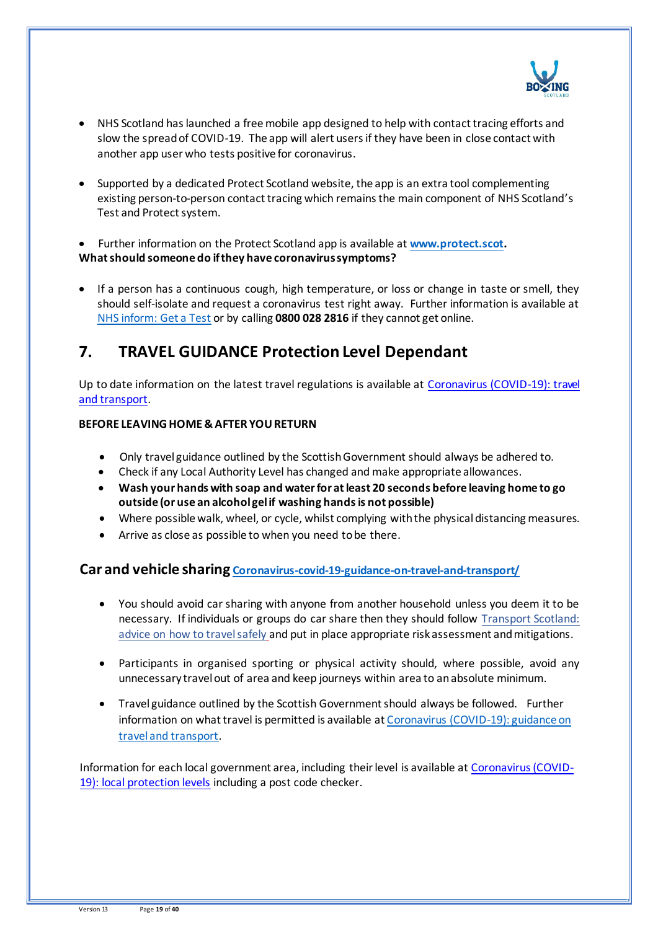

- NHS Scotland has launched a free mobile app designed to help with contact tracing efforts and slow the spread of COVID-19. The app will alert users if they have been in close contact with another app user who tests positive for coronavirus.
- Supported by a dedicated Protect Scotland website, the app is an extra tool complementing existing person-to-person contact tracing which remains the main component of NHS Scotland's Test and Protect system.

• Further information on the Protect Scotland app is available at **[www.protect.scot.](http://www.protect.scot/) What should someone do if they have coronavirus symptoms?**

• If a person has a continuous cough, high temperature, or loss or change in taste or smell, they should self-isolate and request a coronavirus test right away. Further information is available at [NHS inform: Get a Test](https://www.nhsinform.scot/illnesses-and-conditions/infections-and-poisoning/coronavirus-covid-19/test-and-protect/coronavirus-covid-19-get-a-test-if-you-have-symptoms) or by calling **0800 028 2816** if they cannot get online.

## **7. TRAVEL GUIDANCE Protection Level Dependant**

Up to date information on the latest travel regulations is available a[t Coronavirus \(COVID-19\): travel](https://www.gov.scot/publications/coronavirus-covid-19-guidance-on-travel-and-transport/)  [and transport.](https://www.gov.scot/publications/coronavirus-covid-19-guidance-on-travel-and-transport/)

### **BEFORE LEAVING HOME & AFTER YOU RETURN**

- Only travel guidance outlined by the Scottish Government should always be adhered to.
- Check if any Local Authority Level has changed and make appropriate allowances.
- **Wash your hands with soap and water for at least 20 seconds before leaving home to go outside (or use an alcohol gel if washing hands is not possible)**
- Where possible walk, wheel, or cycle, whilst complying with the physical distancing measures.
- Arrive as close as possible to when you need to be there.

## **Car and vehicle sharing [Coronavirus-covid-19-guidance-on-travel-and-transport/](https://www.gov.scot/publications/coronavirus-covid-19-guidance-on-travel-and-transport/)**

- You should avoid car sharing with anyone from another household unless you deem it to be necessary. If individuals or groups do car share then they should follow [Transport Scotland:](http://www.transport.gov.scot/coronavirus-covid-19/transport-transition-plan/advice-on-how-to-travel-safely/#section-63888)  [advice on how to travel safely](http://www.transport.gov.scot/coronavirus-covid-19/transport-transition-plan/advice-on-how-to-travel-safely/#section-63888) and put in place appropriate risk assessment and mitigations.
- Participants in organised sporting or physical activity should, where possible, avoid any unnecessary travel out of area and keep journeys within area to an absolute minimum.
- Travel guidance outlined by the Scottish Government should always be followed. Further information on what travel is permitted is available a[t Coronavirus \(COVID-19\): guidance on](https://www.gov.scot/publications/coronavirus-covid-19-guidance-on-travel-and-transport/)  [travel and transport.](https://www.gov.scot/publications/coronavirus-covid-19-guidance-on-travel-and-transport/)

Information for each local government area, including their level is available a[t Coronavirus \(COVID-](https://www.gov.scot/publications/coronavirus-covid-19-protection-levels/)[19\): local protection levels](https://www.gov.scot/publications/coronavirus-covid-19-protection-levels/) including a post code checker.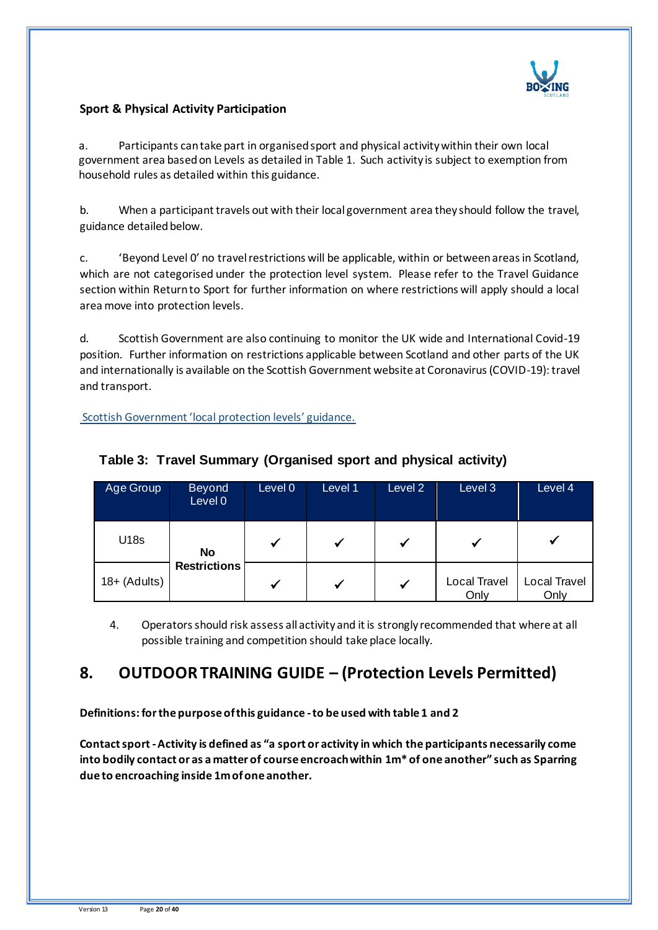

## **Sport & Physical Activity Participation**

a. Participants can take part in organised sport and physical activity within their own local government area based on Levels as detailed i[n Table 1.](file:///C:/Users/paul.coleman/AppData/Local/Microsoft/Windows/INetCache/Content.Outlook/HQ23790D/Return%20to%20sport%20and%20physical%20activity%20guidance%20261120%20FINAL.docx%23_Table_A:_) Such activity is subject to exemption from household rules as detailed within this guidance.

b. When a participant travels out with their local government area they should follow the travel, guidance detailed below.

c. 'Beyond Level 0' no travel restrictions will be applicable, within or between areas in Scotland, which are not categorised under the protection level system. Please refer to the Travel Guidance section within Return to Sport for further information on where restrictions will apply should a local area move into protection levels.

d. Scottish Government are also continuing to monitor the UK wide and International Covid-19 position. Further information on restrictions applicable between Scotland and other parts of the UK and internationally is available on the Scottish Government website at Coronavirus (COVID-19): travel and transport.

[Scottish Government 'local protection levels' guidance.](https://www.gov.scot/publications/coronavirus-covid-19-protection-levels/pages/protection-levels-by-area/)

| Age Group       | <b>Beyond</b><br>Level 0 | Level 0 | Level 1      | Level 2      | Level 3                     | Level 4              |
|-----------------|--------------------------|---------|--------------|--------------|-----------------------------|----------------------|
| U18s            | <b>No</b>                |         | $\checkmark$ | $\checkmark$ |                             |                      |
| $18 + (Adu$ ts) | <b>Restrictions</b>      |         | V            | V            | <b>Local Travel</b><br>Only | Local Travel<br>Only |

## **Table 3: Travel Summary (Organised sport and physical activity)**

4. Operators should risk assess all activity and it is strongly recommended that where at all possible training and competition should take place locally.

## **8. OUTDOOR TRAINING GUIDE – (Protection Levels Permitted)**

**Definitions: for the purpose of this guidance -to be used with table 1 and 2**

**Contact sport -Activity is defined as "a sport or activity in which the participants necessarily come into bodily contact or as a matter of course encroach within 1m\* of one another" such as Sparring due to encroaching inside 1m of one another.**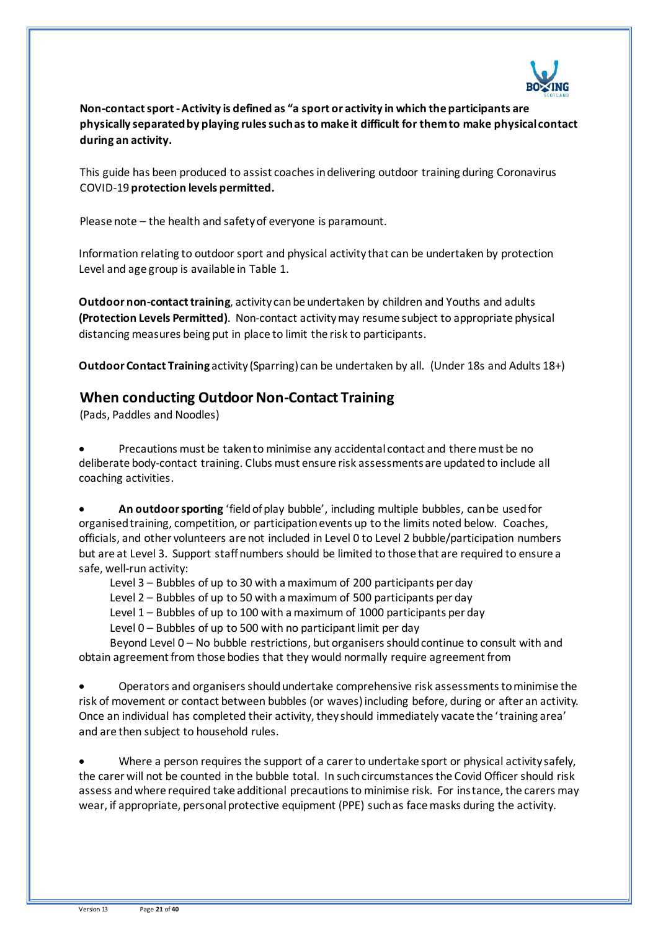

**Non-contact sport -Activity is defined as "a sport or activity in which the participants are physically separated by playing rules such as to make it difficult for them to make physical contact during an activity.** 

This guide has been produced to assist coaches in delivering outdoor training during Coronavirus COVID-19 **protection levels permitted.**

Please note – the health and safety of everyone is paramount.

Information relating to outdoor sport and physical activity that can be undertaken by protection Level and age group is available in Table 1.

**Outdoor non-contact training**, activity can be undertaken by children and Youths and adults **(Protection Levels Permitted)**. Non-contact activity may resume subject to appropriate physical distancing measures being put in place to limit the risk to participants.

**Outdoor Contact Training** activity (Sparring) can be undertaken by all. (Under 18s and Adults 18+)

## **When conducting Outdoor Non-Contact Training**

(Pads, Paddles and Noodles)

• Precautions must be taken to minimise any accidental contact and there must be no deliberate body-contact training. Clubs must ensure risk assessments are updated to include all coaching activities.

• **An outdoor sporting** 'field of play bubble', including multiple bubbles, can be used for organised training, competition, or participation events up to the limits noted below. Coaches, officials, and other volunteers are not included in Level 0 to Level 2 bubble/participation numbers but are at Level 3. Support staff numbers should be limited to those that are required to ensure a safe, well-run activity:

Level 3 – Bubbles of up to 30 with a maximum of 200 participants per day

Level 2 – Bubbles of up to 50 with a maximum of 500 participants per day

Level 1 – Bubbles of up to 100 with a maximum of 1000 participants per day

Level 0 – Bubbles of up to 500 with no participant limit per day

Beyond Level 0 – No bubble restrictions, but organisers should continue to consult with and obtain agreement from those bodies that they would normally require agreement from

• Operators and organisers should undertake comprehensive risk assessments to minimise the risk of movement or contact between bubbles (or waves) including before, during or after an activity. Once an individual has completed their activity, they should immediately vacate the 'training area' and are then subject to household rules.

• Where a person requires the support of a carer to undertake sport or physical activity safely, the carer will not be counted in the bubble total. In such circumstances the Covid Officer should risk assess and where required take additional precautions to minimise risk. For instance, the carers may wear, if appropriate, personal protective equipment (PPE) such as face masks during the activity.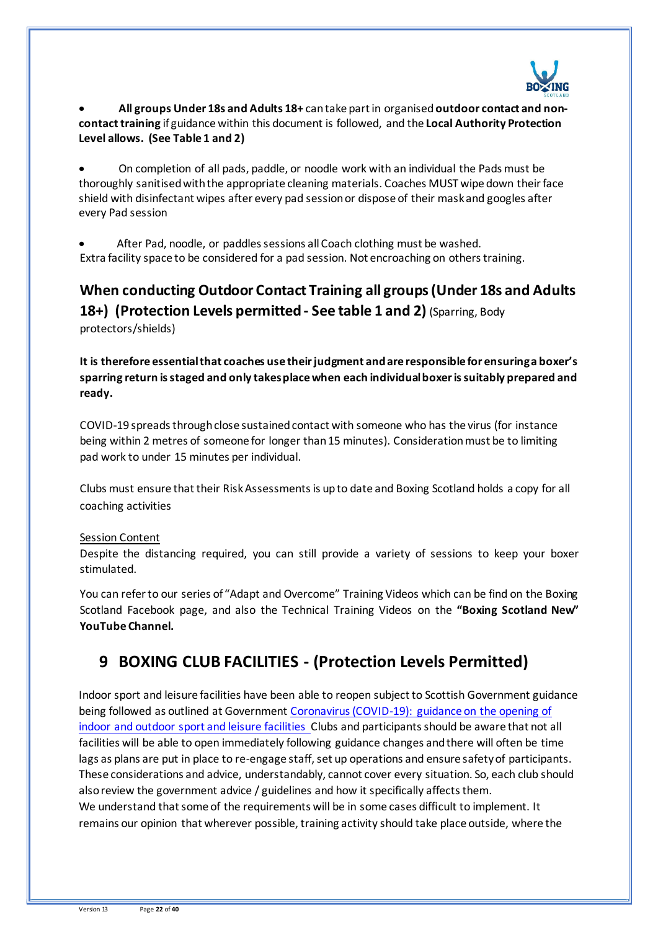

• **All groups Under 18s and Adults 18+** can take part in organised **outdoor contact and noncontact training** if guidance within this document is followed, and the **Local Authority Protection Level allows. (See Table 1 and 2)**

• On completion of all pads, paddle, or noodle work with an individual the Pads must be thoroughly sanitised with the appropriate cleaning materials. Coaches MUST wipe down their face shield with disinfectant wipes after every pad session or dispose of their mask and googles after every Pad session

• After Pad, noodle, or paddles sessions all Coach clothing must be washed. Extra facility space to be considered for a pad session. Not encroaching on others training.

# **When conducting Outdoor Contact Training all groups (Under 18s and Adults 18+) (Protection Levels permitted- See table 1 and 2)** (Sparring, Body

protectors/shields)

**It is therefore essential that coaches use their judgment and are responsible for ensuring a boxer's sparring return is staged and only takes place when each individual boxer is suitably prepared and ready.**

COVID-19 spreads through close sustained contact with someone who has the virus (for instance being within 2 metres of someone for longer than 15 minutes). Consideration must be to limiting pad work to under 15 minutes per individual.

Clubs must ensure that their Risk Assessments is up to date and Boxing Scotland holds a copy for all coaching activities

#### Session Content

Despite the distancing required, you can still provide a variety of sessions to keep your boxer stimulated.

You can refer to our series of "Adapt and Overcome" Training Videos which can be find on the Boxing Scotland Facebook page, and also the Technical Training Videos on the **"Boxing Scotland New" YouTube Channel.** 

## **9 BOXING CLUB FACILITIES - (Protection Levels Permitted)**

Indoor sport and leisure facilities have been able to reopen subject to Scottish Government guidance being followed as outlined at Governmen[t Coronavirus \(COVID-19\): guidance on the opening of](http://www.gov.scot/publications/coronavirus-covid-19-guidance-on-sport-and-leisure-facilities)  [indoor and outdoor sport and leisure facilities](http://www.gov.scot/publications/coronavirus-covid-19-guidance-on-sport-and-leisure-facilities). Clubs and participants should be aware that not all facilities will be able to open immediately following guidance changes and there will often be time lags as plans are put in place to re-engage staff, set up operations and ensure safety of participants. These considerations and advice, understandably, cannot cover every situation. So, each club should also review the government advice / guidelines and how it specifically affects them. We understand that some of the requirements will be in some cases difficult to implement. It remains our opinion that wherever possible, training activity should take place outside, where the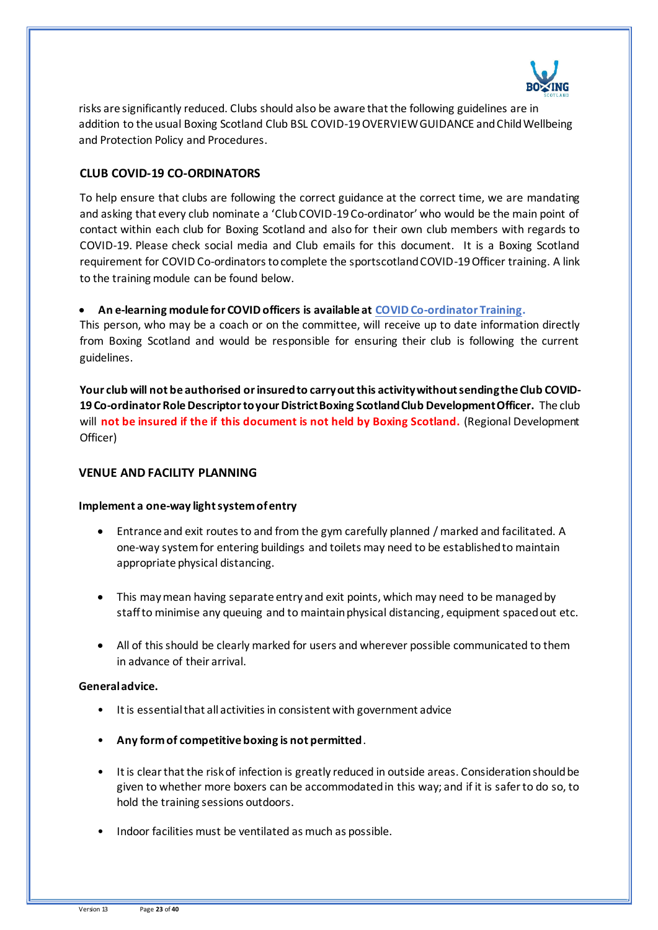

risks are significantly reduced. Clubs should also be aware that the following guidelines are in addition to the usual Boxing Scotland Club BSL COVID-19 OVERVIEW GUIDANCE and Child Wellbeing and Protection Policy and Procedures.

### **CLUB COVID-19 CO-ORDINATORS**

To help ensure that clubs are following the correct guidance at the correct time, we are mandating and asking that every club nominate a 'Club COVID-19 Co-ordinator' who would be the main point of contact within each club for Boxing Scotland and also for their own club members with regards to COVID-19. Please check social media and Club emails for this document. It is a Boxing Scotland requirement for COVID Co-ordinators to complete the sportscotland COVID-19 Officer training. A link to the training module can be found below.

#### • **An e-learning module for COVID officers is available at [COVID Co-ordinator Training](https://rise.articulate.com/share/LlEWUj-o23H_4gC1AF002jdxdrCucQC0).**

This person, who may be a coach or on the committee, will receive up to date information directly from Boxing Scotland and would be responsible for ensuring their club is following the current guidelines.

**Your club will not be authorised or insured to carry out this activity without sending the Club COVID-19 Co-ordinator Role Descriptor to your District Boxing Scotland Club Development Officer.** The club will **not be insured if the if this document is not held by Boxing Scotland.** (Regional Development Officer)

#### **VENUE AND FACILITY PLANNING**

#### **Implement a one-way light system of entry**

- Entrance and exit routes to and from the gym carefully planned / marked and facilitated. A one-way system for entering buildings and toilets may need to be established to maintain appropriate physical distancing.
- This may mean having separate entry and exit points, which may need to be managed by staff to minimise any queuing and to maintain physical distancing, equipment spaced out etc.
- All of this should be clearly marked for users and wherever possible communicated to them in advance of their arrival.

#### **General advice.**

- It is essential that all activities in consistent with government advice
- **Any form of competitive boxing is not permitted**.
- It is clear that the risk of infection is greatly reduced in outside areas. Consideration should be given to whether more boxers can be accommodated in this way; and if it is safer to do so, to hold the training sessions outdoors.
- Indoor facilities must be ventilated as much as possible.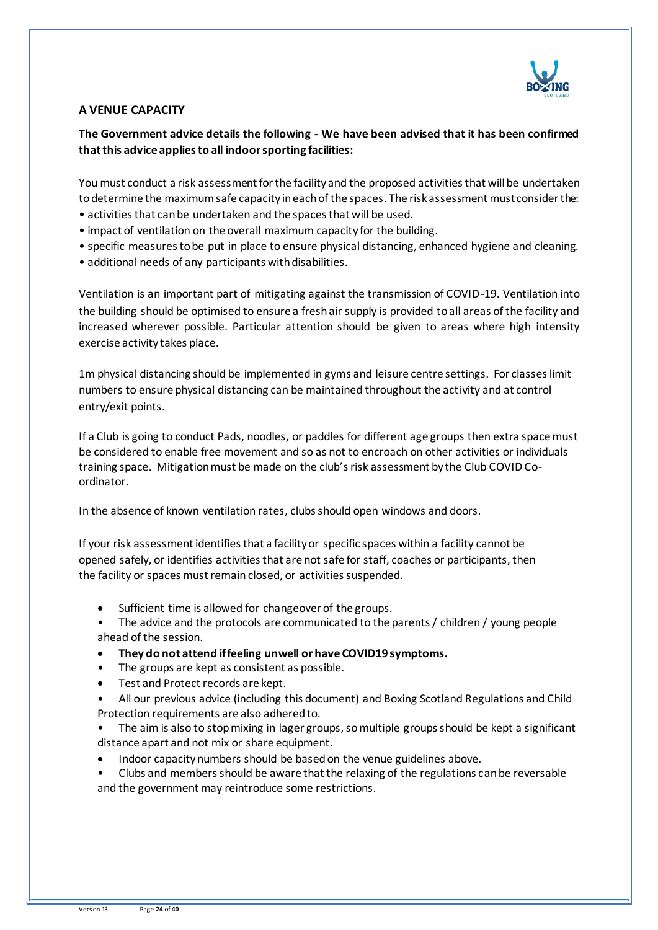

### **A VENUE CAPACITY**

### **The Government advice details the following - We have been advised that it has been confirmed that this advice applies to all indoor sporting facilities:**

You must conduct a risk assessment for the facility and the proposed activities that will be undertaken to determine the maximum safe capacity in each of the spaces. The risk assessment must consider the:

- activities that can be undertaken and the spaces that will be used.
- impact of ventilation on the overall maximum capacity for the building.
- specific measures to be put in place to ensure physical distancing, enhanced hygiene and cleaning.
- additional needs of any participants with disabilities.

Ventilation is an important part of mitigating against the transmission of COVID-19. Ventilation into the building should be optimised to ensure a fresh air supply is provided to all areas of the facility and increased wherever possible. Particular attention should be given to areas where high intensity exercise activity takes place.

1m physical distancing should be implemented in gyms and leisure centre settings. For classes limit numbers to ensure physical distancing can be maintained throughout the activity and at control entry/exit points.

If a Club is going to conduct Pads, noodles, or paddles for different age groups then extra space must be considered to enable free movement and so as not to encroach on other activities or individuals training space. Mitigation must be made on the club's risk assessment by the Club COVID Coordinator.

In the absence of known ventilation rates, clubs should open windows and doors.

If your risk assessment identifies that a facility or specific spaces within a facility cannot be opened safely, or identifies activities that are not safe for staff, coaches or participants, then the facility or spaces must remain closed, or activities suspended.

- Sufficient time is allowed for changeover of the groups.
- The advice and the protocols are communicated to the parents / children / young people ahead of the session.
- **They do not attend if feeling unwell or have COVID19 symptoms.**
- The groups are kept as consistent as possible.
- Test and Protect records are kept.
- All our previous advice (including this document) and Boxing Scotland Regulations and Child Protection requirements are also adhered to.
- The aim is also to stop mixing in lager groups, so multiple groups should be kept a significant distance apart and not mix or share equipment.
- Indoor capacity numbers should be based on the venue guidelines above.
- Clubs and members should be aware that the relaxing of the regulations can be reversable and the government may reintroduce some restrictions.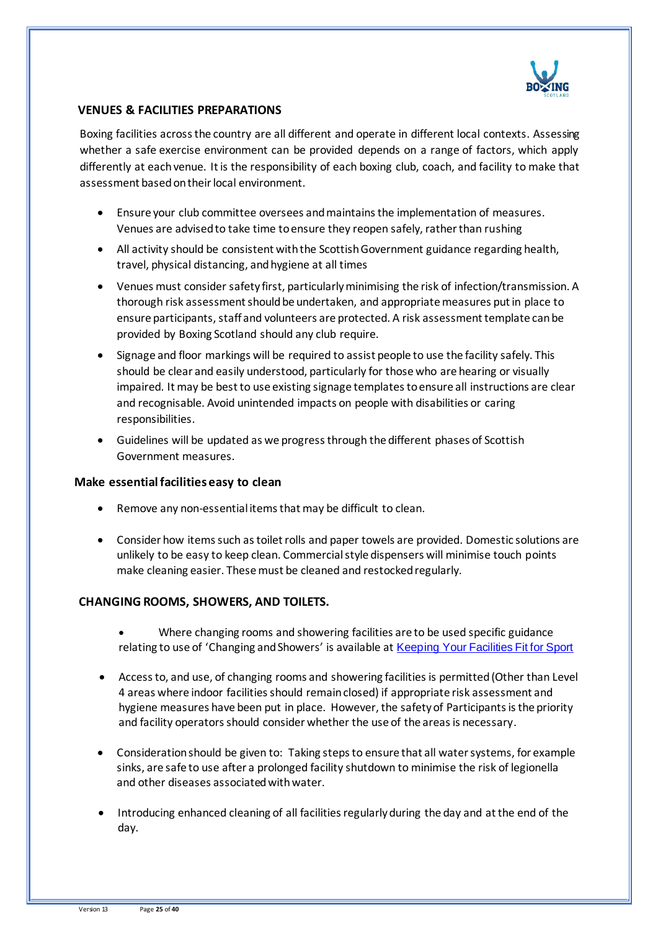

### **VENUES & FACILITIES PREPARATIONS**

Boxing facilities across the country are all different and operate in different local contexts. Assessing whether a safe exercise environment can be provided depends on a range of factors, which apply differently at each venue. It is the responsibility of each boxing club, coach, and facility to make that assessment based on their local environment.

- Ensure your club committee oversees and maintains the implementation of measures. Venues are advised to take time to ensure they reopen safely, rather than rushing
- All activity should be consistent with the Scottish Government guidance regarding health, travel, physical distancing, and hygiene at all times
- Venues must consider safety first, particularly minimising the risk of infection/transmission. A thorough risk assessment should be undertaken, and appropriate measures put in place to ensure participants, staff and volunteers are protected. A risk assessment template can be provided by Boxing Scotland should any club require.
- Signage and floor markings will be required to assist people to use the facility safely. This should be clear and easily understood, particularly for those who are hearing or visually impaired. It may be best to use existing signage templates to ensure all instructions are clear and recognisable. Avoid unintended impacts on people with disabilities or caring responsibilities.
- Guidelines will be updated as we progress through the different phases of Scottish Government measures.

#### **Make essential facilities easy to clean**

- Remove any non-essential items that may be difficult to clean.
- Consider how items such as toilet rolls and paper towels are provided. Domestic solutions are unlikely to be easy to keep clean. Commercial style dispensers will minimise touch points make cleaning easier. These must be cleaned and restocked regularly.

#### **CHANGING ROOMS, SHOWERS, AND TOILETS.**

- Where changing rooms and showering facilities are to be used specific guidance relating to use of 'Changing and Showers' is available at [Keeping Your Facilities Fit for Sport](http://www.sportscotland.org.uk/covid-19/getting-your-facilities-fit-for-sport/)
- Access to, and use, of changing rooms and showering facilities is permitted (Other than Level 4 areas where indoor facilities should remain closed) if appropriate risk assessment and hygiene measures have been put in place. However, the safety of Participants is the priority and facility operators should consider whether the use of the areas is necessary.
- Consideration should be given to: Taking steps to ensure that all water systems, for example sinks, are safe to use after a prolonged facility shutdown to minimise the risk of legionella and other diseases associated with water.
- Introducing enhanced cleaning of all facilities regularly during the day and at the end of the day.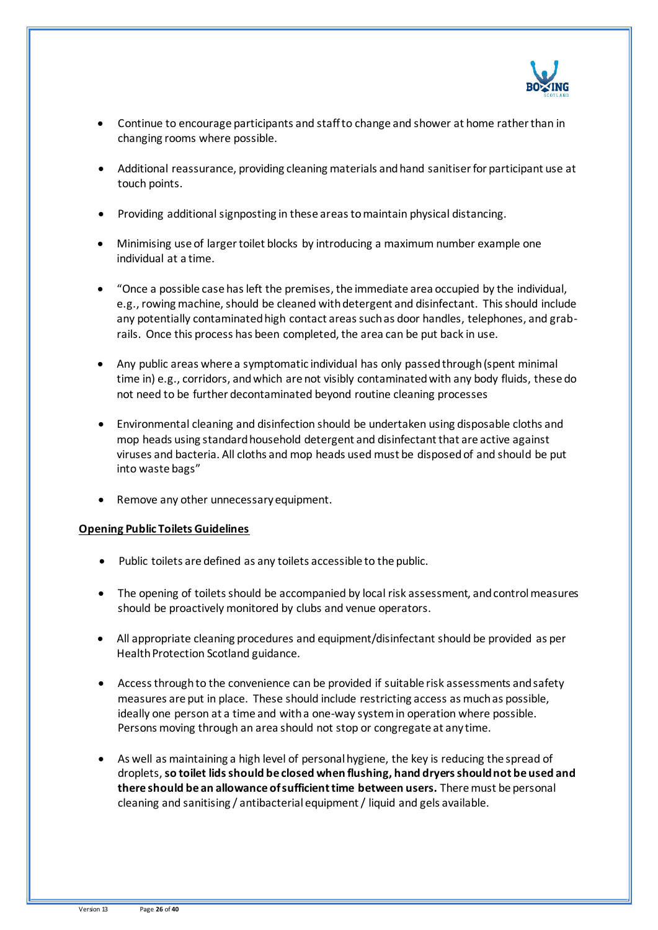

- Continue to encourage participants and staff to change and shower at home rather than in changing rooms where possible.
- Additional reassurance, providing cleaning materials and hand sanitiser for participant use at touch points.
- Providing additional signposting in these areas to maintain physical distancing.
- Minimising use of larger toilet blocks by introducing a maximum number example one individual at a time.
- "Once a possible case has left the premises, the immediate area occupied by the individual, e.g., rowing machine, should be cleaned with detergent and disinfectant. This should include any potentially contaminated high contact areas such as door handles, telephones, and grabrails. Once this process has been completed, the area can be put back in use.
- Any public areas where a symptomatic individual has only passed through (spent minimal time in) e.g., corridors, and which are not visibly contaminated with any body fluids, these do not need to be further decontaminated beyond routine cleaning processes
- Environmental cleaning and disinfection should be undertaken using disposable cloths and mop heads using standard household detergent and disinfectant that are active against viruses and bacteria. All cloths and mop heads used must be disposed of and should be put into waste bags"
- Remove any other unnecessary equipment.

#### **[Opening Public Toilets Guidelines](http://www.gov.scot/publications/coronavirus-covid-19-public-and-customer-toilets-guidance/pages/overview/)**

- Public toilets are defined as any toilets accessible to the public.
- The opening of toilets should be accompanied by local risk assessment, and control measures should be proactively monitored by clubs and venue operators.
- All appropriate cleaning procedures and equipment/disinfectant should be provided as per Health Protection Scotland guidance.
- Access through to the convenience can be provided if suitable risk assessments and safety measures are put in place. These should include restricting access as much as possible, ideally one person at a time and with a one-way system in operation where possible. Persons moving through an area should not stop or congregate at any time.
- As well as maintaining a high level of personal hygiene, the key is reducing the spread of droplets, **so toilet lids should be closed when flushing, hand dryers should not be used and there should be an allowance of sufficient time between users.** There must be personal cleaning and sanitising / antibacterial equipment / liquid and gels available.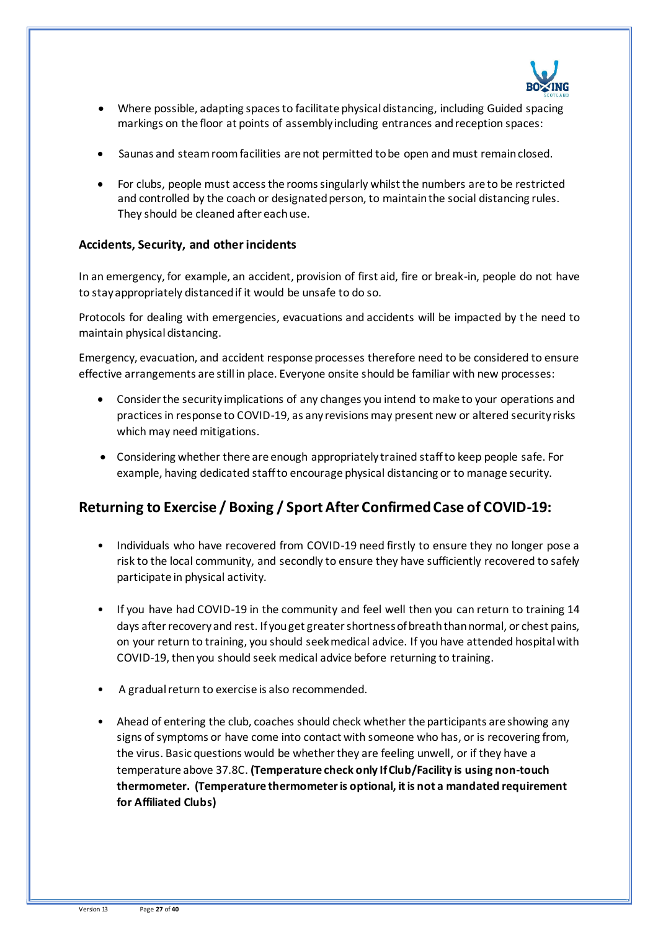

- Where possible, adapting spaces to facilitate physical distancing, including Guided spacing markings on the floor at points of assembly including entrances and reception spaces:
- Saunas and steam room facilities are not permitted to be open and must remain closed.
- For clubs, people must access the rooms singularly whilst the numbers are to be restricted and controlled by the coach or designated person, to maintain the social distancing rules. They should be cleaned after each use.

#### **Accidents, Security, and other incidents**

In an emergency, for example, an accident, provision of first aid, fire or break-in, people do not have to stay appropriately distanced if it would be unsafe to do so.

Protocols for dealing with emergencies, evacuations and accidents will be impacted by the need to maintain physical distancing.

Emergency, evacuation, and accident response processes therefore need to be considered to ensure effective arrangements are still in place. Everyone onsite should be familiar with new processes:

- Consider the security implications of any changes you intend to make to your operations and practices in response to COVID-19, as any revisions may present new or altered security risks which may need mitigations.
- Considering whether there are enough appropriately trained staff to keep people safe. For example, having dedicated staff to encourage physical distancing or to manage security.

## **Returning to Exercise / Boxing / Sport After Confirmed Case of COVID-19:**

- Individuals who have recovered from COVID-19 need firstly to ensure they no longer pose a risk to the local community, and secondly to ensure they have sufficiently recovered to safely participate in physical activity.
- If you have had COVID-19 in the community and feel well then you can return to training 14 days after recovery and rest. If you get greater shortness of breath than normal, or chest pains, on your return to training, you should seek medical advice. If you have attended hospital with COVID-19, then you should seek medical advice before returning to training.
- A gradual return to exercise is also recommended.
- Ahead of entering the club, coaches should check whether the participants are showing any signs of symptoms or have come into contact with someone who has, or is recovering from, the virus. Basic questions would be whether they are feeling unwell, or if they have a temperature above 37.8C. **(Temperature check only If Club/Facility is using non-touch thermometer. (Temperature thermometer is optional, it is not a mandated requirement for Affiliated Clubs)**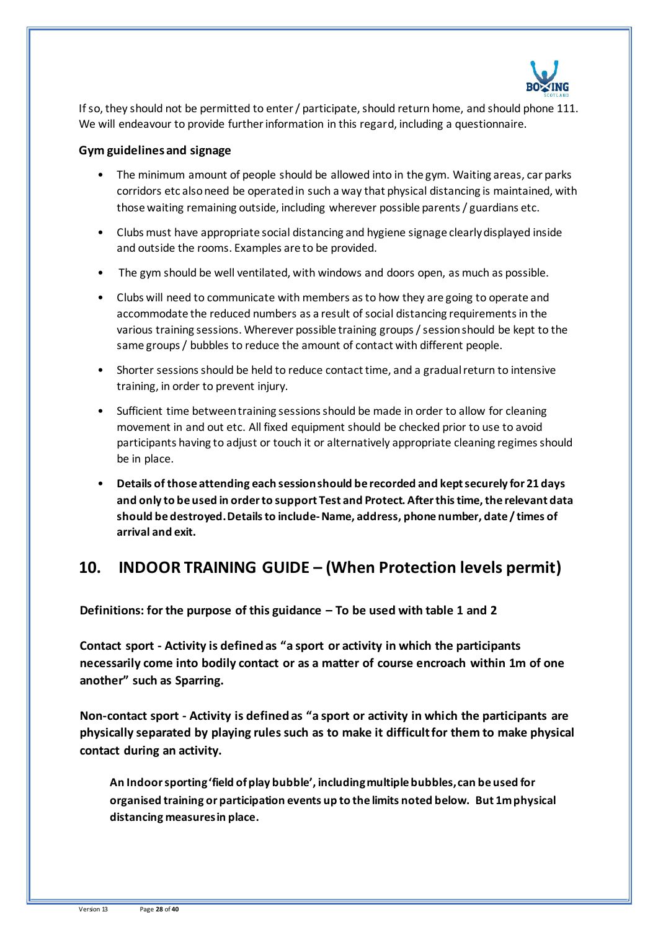

If so, they should not be permitted to enter / participate, should return home, and should phone 111. We will endeavour to provide further information in this regard, including a questionnaire.

#### **Gym guidelines and signage**

- The minimum amount of people should be allowed into in the gym. Waiting areas, car parks corridors etc also need be operated in such a way that physical distancing is maintained, with those waiting remaining outside, including wherever possible parents / guardians etc.
- Clubs must have appropriate social distancing and hygiene signage clearly displayed inside and outside the rooms. Examples are to be provided.
- The gym should be well ventilated, with windows and doors open, as much as possible.
- Clubs will need to communicate with members as to how they are going to operate and accommodate the reduced numbers as a result of social distancing requirements in the various training sessions. Wherever possible training groups / session should be kept to the same groups / bubbles to reduce the amount of contact with different people.
- Shorter sessions should be held to reduce contact time, and a gradual return to intensive training, in order to prevent injury.
- Sufficient time between training sessions should be made in order to allow for cleaning movement in and out etc. All fixed equipment should be checked prior to use to avoid participants having to adjust or touch it or alternatively appropriate cleaning regimes should be in place.
- **Details of those attending each session should be recorded and kept securely for 21 days and only to be used in order to support Test and Protect. After this time, the relevant data should be destroyed. Details to include-Name, address, phone number, date / times of arrival and exit.**

## **10. INDOOR TRAINING GUIDE – (When Protection levels permit)**

**Definitions: for the purpose of this guidance – To be used with table 1 and 2**

**Contact sport - Activity is defined as "a sport or activity in which the participants necessarily come into bodily contact or as a matter of course encroach within 1m of one another" such as Sparring.** 

**Non-contact sport - Activity is defined as "a sport or activity in which the participants are physically separated by playing rules such as to make it difficult for them to make physical contact during an activity.**

**An Indoor sporting 'field of play bubble', including multiple bubbles, can be used for organised training or participation events up to the limits noted below. But 1m physical distancing measures in place.**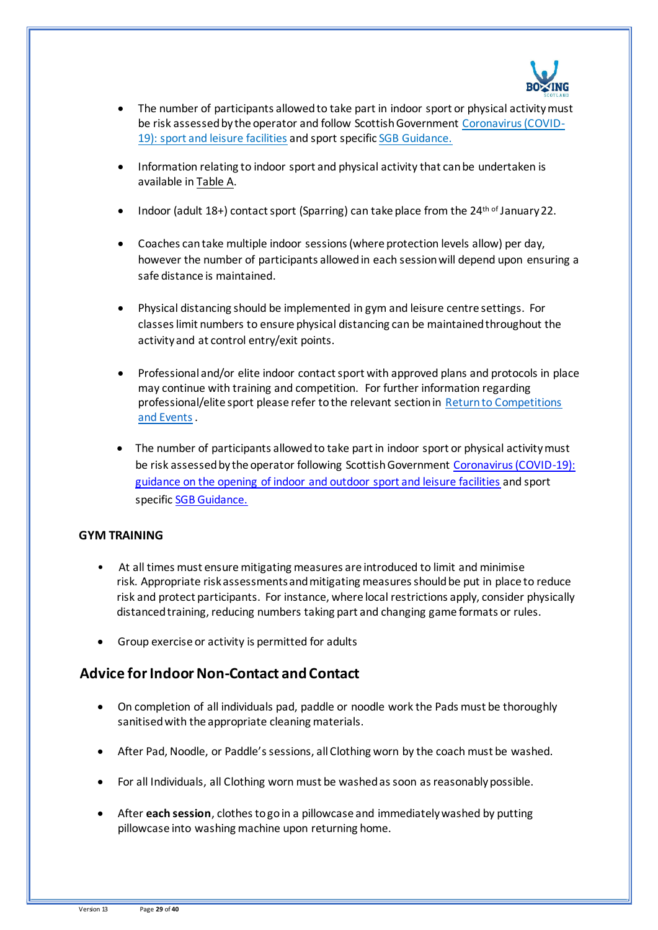

- The number of participants allowed to take part in indoor sport or physical activity must be risk assessed by the operator and follow Scottish Government [Coronavirus \(COVID-](https://www.gov.scot/publications/coronavirus-covid-19-guidance-on-sport-and-leisure-facilities/)[19\): sport and leisure facilities](https://www.gov.scot/publications/coronavirus-covid-19-guidance-on-sport-and-leisure-facilities/) and sport specifi[c SGB Guidance.](https://sportscotland.org.uk/covid-19/latest-sport-and-physical-activity-guidance/)
- Information relating to indoor sport and physical activity that can be undertaken is available in Table A.
- Indoor (adult 18+) contact sport (Sparring) can take place from the 24<sup>th of</sup> January 22.
- Coaches can take multiple indoor sessions (where protection levels allow) per day, however the number of participants allowed in each session will depend upon ensuring a safe distance is maintained.
- Physical distancing should be implemented in gym and leisure centre settings. For classes limit numbers to ensure physical distancing can be maintained throughout the activity and at control entry/exit points.
- Professional and/or elite indoor contact sport with approved plans and protocols in place may continue with training and competition. For further information regarding professional/elite sport please refer to the relevant section in [Return to Competitions](https://sportscotland.org.uk/covid-19/return-to-competitions-and-events/)  [and Events](https://sportscotland.org.uk/covid-19/return-to-competitions-and-events/).
- The number of participants allowed to take part in indoor sport or physical activity must be risk assessed by the operator following Scottish Government [Coronavirus \(COVID-19\):](http://www.gov.scot/publications/coronavirus-covid-19-guidance-on-sport-and-leisure-facilities)  [guidance on the opening of indoor and outdoor sport and leisure facilities](http://www.gov.scot/publications/coronavirus-covid-19-guidance-on-sport-and-leisure-facilities) and sport specific **SGB Guidance**.

### **GYM TRAINING**

- At all times must ensure mitigating measures are introduced to limit and minimise risk. Appropriate risk assessments and mitigating measures should be put in place to reduce risk and protect participants. For instance, where local restrictions apply, consider physically distanced training, reducing numbers taking part and changing game formats or rules.
- Group exercise or activity is permitted for adults

## **Advice forIndoor Non-Contact and Contact**

- On completion of all individuals pad, paddle or noodle work the Pads must be thoroughly sanitised with the appropriate cleaning materials.
- After Pad, Noodle, or Paddle's sessions, all Clothing worn by the coach must be washed.
- For all Individuals, all Clothing worn must be washed as soon as reasonably possible.
- After **each session**, clothes to go in a pillowcase and immediately washed by putting pillowcase into washing machine upon returning home.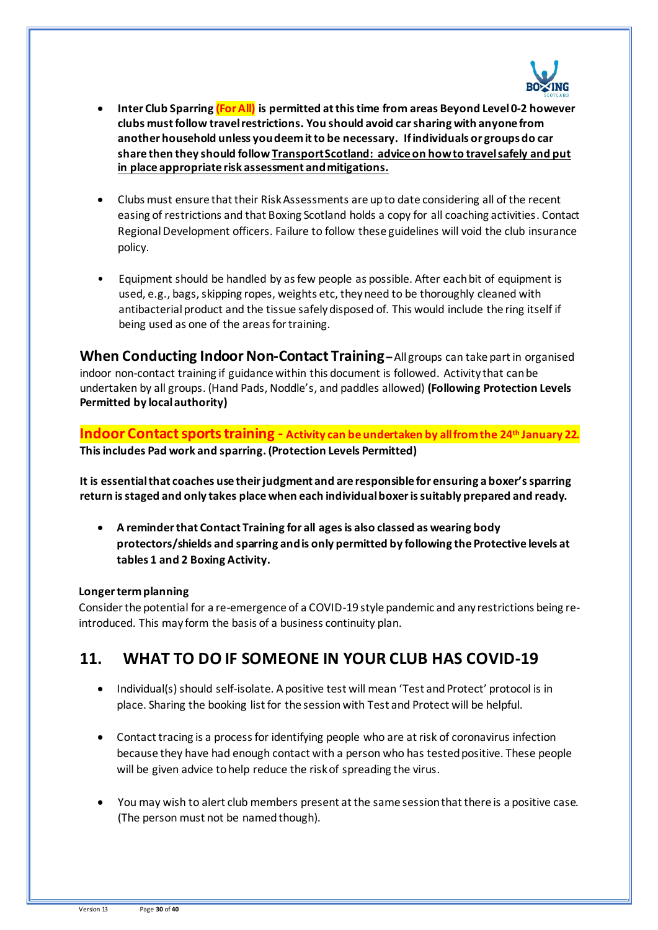

- **Inter Club Sparring (For All) is permitted at this time from areas Beyond Level 0-2 however clubs must follow travel restrictions. You should avoid car sharing with anyone from another household unless you deem it to be necessary. If individuals or groupsdo car share then they should follo[w Transport Scotland: advice on how to travel safely](http://www.transport.gov.scot/coronavirus-covid-19/transport-transition-plan/advice-on-how-to-travel-safely/#section-63888) and put in place appropriate risk assessment and mitigations.**
- Clubs must ensure that their Risk Assessments are up to date considering all of the recent easing of restrictions and that Boxing Scotland holds a copy for all coaching activities. Contact Regional Development officers. Failure to follow these guidelines will void the club insurance policy.
- Equipment should be handled by as few people as possible. After each bit of equipment is used, e.g., bags, skipping ropes, weights etc, they need to be thoroughly cleaned with antibacterial product and the tissue safely disposed of. This would include the ring itself if being used as one of the areas for training.

**When Conducting Indoor Non-Contact Training–** All groups can take part in organised indoor non-contact training if guidance within this document is followed. Activity that can be undertaken by all groups. (Hand Pads, Noddle's, and paddles allowed) **(Following Protection Levels Permitted by local authority)**

**Indoor Contact sports training - Activity can be undertaken by all from the 24th January 22. This includes Pad work and sparring. (Protection Levels Permitted)**

**It is essential that coaches use their judgment and are responsible for ensuring a boxer's sparring return is staged and only takes place when each individual boxer is suitably prepared and ready.**

• **A reminder that Contact Training for all agesis also classed as wearing body protectors/shields and sparring and is only permitted by following the Protective levels at tables 1 and 2 Boxing Activity.**

### **Longer term planning**

Consider the potential for a re-emergence of a COVID-19 style pandemic and any restrictions being reintroduced. This may form the basis of a business continuity plan.

## **11. WHAT TO DO IF SOMEONE IN YOUR CLUB HAS COVID-19**

- Individual(s) should self-isolate. A positive test will mean 'Test and Protect' protocol is in place. Sharing the booking list for the session with Test and Protect will be helpful.
- Contact tracing is a process for identifying people who are at risk of coronavirus infection because they have had enough contact with a person who has tested positive. These people will be given advice to help reduce the risk of spreading the virus.
- You may wish to alert club members present at the same session that there is a positive case. (The person must not be named though).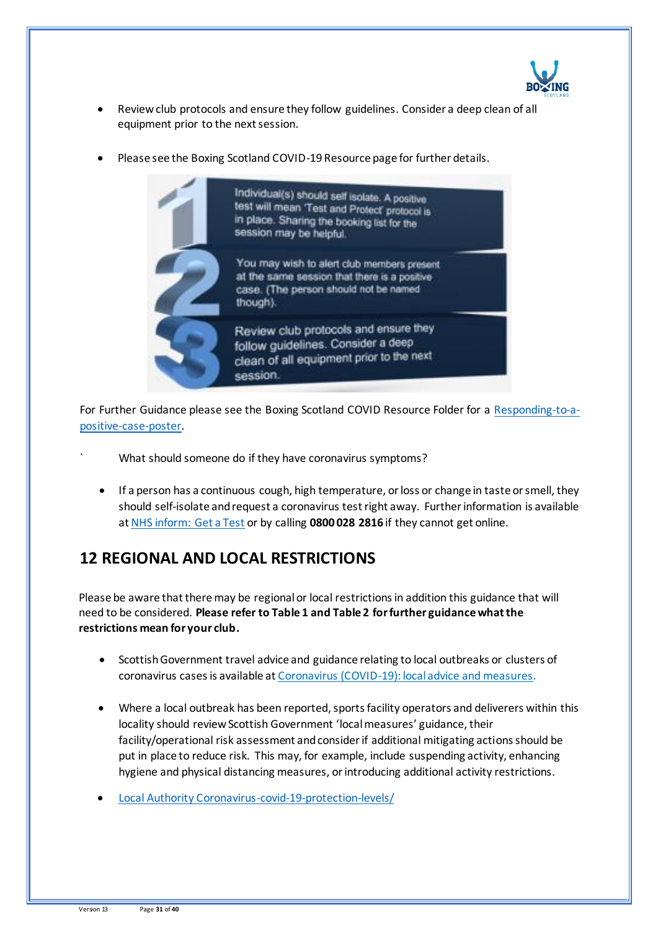

- Review club protocols and ensure they follow guidelines. Consider a deep clean of all equipment prior to the next session.
- Please see the Boxing Scotland COVID-19 Resource page for further details.



For Further Guidance please see the Boxing Scotland COVID Resource Folder for a [Responding-to-a](https://www.boxingscotland.org/version2/wp-content/uploads/2020/11/Responding-to-a-positive-case-Oct-2020.pdf)[positive-case-poster.](https://www.boxingscotland.org/version2/wp-content/uploads/2020/11/Responding-to-a-positive-case-Oct-2020.pdf)

- What should someone do if they have coronavirus symptoms?
	- If a person has a continuous cough, high temperature, or loss or change in taste or smell, they should self-isolate and request a coronavirus test right away. Further information is available a[t NHS inform: Get a Test](https://www.nhsinform.scot/illnesses-and-conditions/infections-and-poisoning/coronavirus-covid-19/test-and-protect/coronavirus-covid-19-get-a-test-if-you-have-symptoms) or by calling **0800 028 2816** if they cannot get online.

## **12 REGIONAL AND LOCAL RESTRICTIONS**

Please be aware that there may be regional or local restrictions in addition this guidance that will need to be considered. **Please refer to Table 1 and Table 2 for further guidance what the restrictions mean for your club.**

- Scottish Government travel advice and guidance relating to local outbreaks or clusters of coronavirus cases is available a[t Coronavirus \(COVID-19\): local advice and measures.](http://www.gov.scot/publications/coronavirus-covid-19-local-measures/)
- Where a local outbreak has been reported, sports facility operators and deliverers within this locality should review Scottish Government 'local measures' guidance, their facility/operational risk assessment and consider if additional mitigating actions should be put in place to reduce risk. This may, for example, include suspending activity, enhancing hygiene and physical distancing measures, or introducing additional activity restrictions.
- [Local Authority Coronavirus-covid-19-protection-levels/](https://www.gov.scot/publications/coronavirus-covid-19-protection-levels/)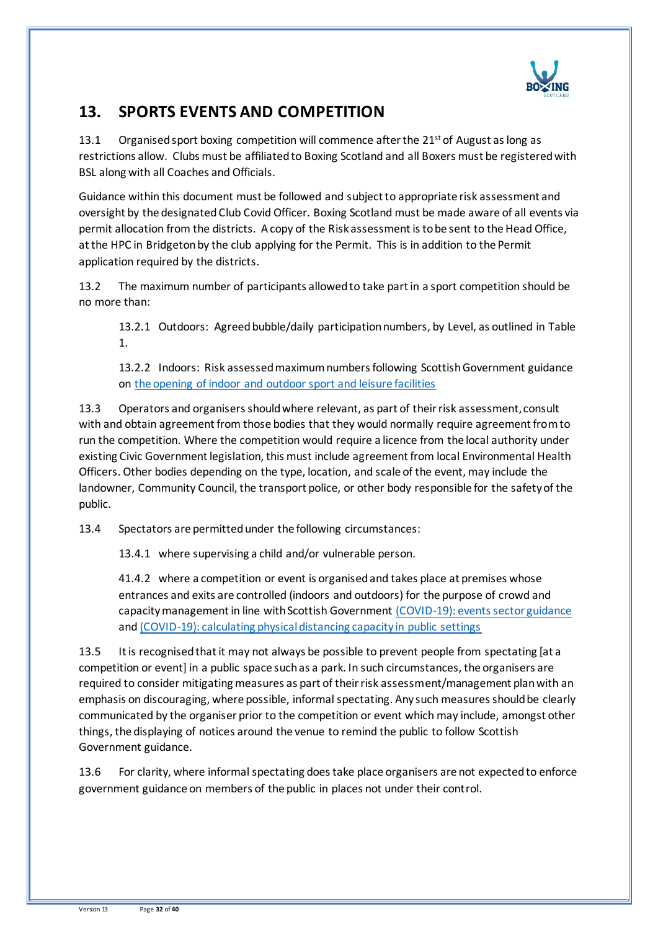

## **13. SPORTS EVENTS AND COMPETITION**

13.1 Organised sport boxing competition will commence after the  $21<sup>st</sup>$  of August as long as restrictions allow. Clubs must be affiliated to Boxing Scotland and all Boxers must be registered with BSL along with all Coaches and Officials.

Guidance within this document must be followed and subject to appropriate risk assessment and oversight by the designated Club Covid Officer. Boxing Scotland must be made aware of all events via permit allocation from the districts. A copy of the Risk assessment is to be sent to the Head Office, at the HPC in Bridgeton by the club applying for the Permit. This is in addition to the Permit application required by the districts.

13.2 The maximum number of participants allowed to take part in a sport competition should be no more than:

13.2.1 Outdoors: Agreed bubble/daily participation numbers, by Level, as outlined in Table 1.

13.2.2 Indoors: Risk assessed maximum numbers following Scottish Government guidance on [the opening of indoor and outdoor sport and leisure facilities](http://www.gov.scot/publications/coronavirus-covid-19-guidance-on-sport-and-leisure-facilities)

13.3 Operators and organisers should where relevant, as part of their risk assessment, consult with and obtain agreement from those bodies that they would normally require agreement from to run the competition. Where the competition would require a licence from the local authority under existing Civic Government legislation, this must include agreement from local Environmental Health Officers. Other bodies depending on the type, location, and scale of the event, may include the landowner, Community Council, the transport police, or other body responsible for the safety of the public.

13.4 Spectators are permitted under the following circumstances:

13.4.1 where supervising a child and/or vulnerable person.

41.4.2 where a competition or event is organised and takes place at premises whose entrances and exits are controlled (indoors and outdoors) for the purpose of crowd and capacity management in line with Scottish Government [\(COVID-19\): events sector guidance](https://protect-eu.mimecast.com/s/FciKCk50qulxM1fQ2ibV?domain=gov.scot/) and [\(COVID-19\): calculating physical distancing capacity in public settings](https://protect-eu.mimecast.com/s/P4KmClO9rHGQBpiqO5s9?domain=gov.scot/)

13.5 It is recognised that it may not always be possible to prevent people from spectating [at a competition or event] in a public space such as a park. In such circumstances, the organisers are required to consider mitigating measures as part of their risk assessment/management plan with an emphasis on discouraging, where possible, informal spectating. Any such measures should be clearly communicated by the organiser prior to the competition or event which may include, amongst other things, the displaying of notices around the venue to remind the public to follow Scottish Government guidance.

13.6 For clarity, where informal spectating does take place organisers are not expected to enforce government guidance on members of the public in places not under their control.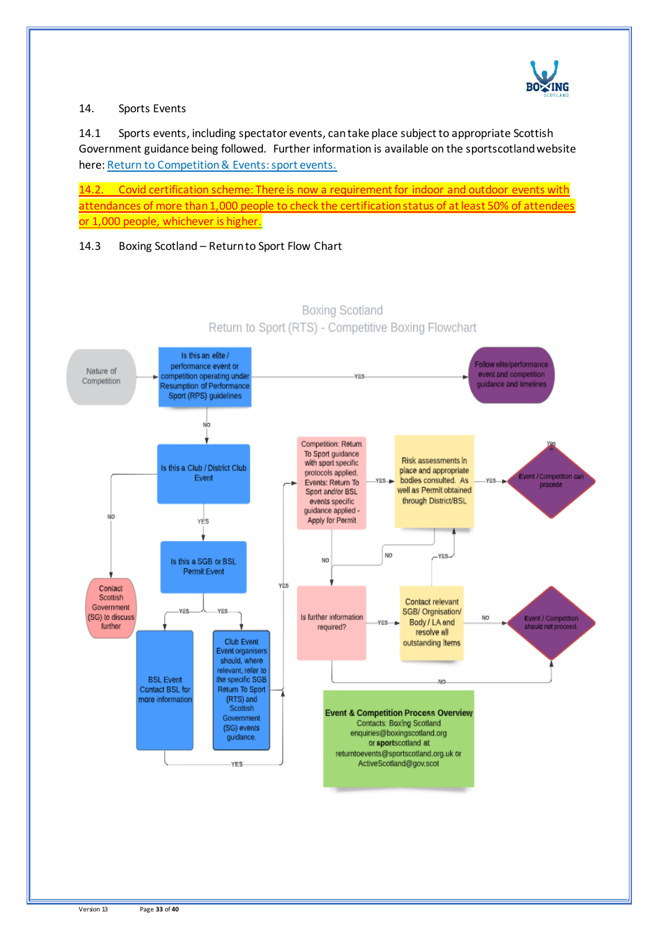

### 14. Sports Events

14.1 Sports events, including spectator events, can take place subject to appropriate Scottish Government guidance being followed. Further information is available on the sportscotland website here[: Return to Competition & Events: sport events.](https://sportscotland.org.uk/covid-19/return-to-competitions-and-events/)

14.2. Covid certification scheme: There is now a requirement for indoor and outdoor events with attendances of more than 1,000 people to check the certification status of at least 50% of attendees or 1,000 people, whichever is higher.

### 14.3 Boxing Scotland – Return to Sport Flow Chart



**Boxing Scotland** Return to Sport (RTS) - Competitive Boxing Flowchart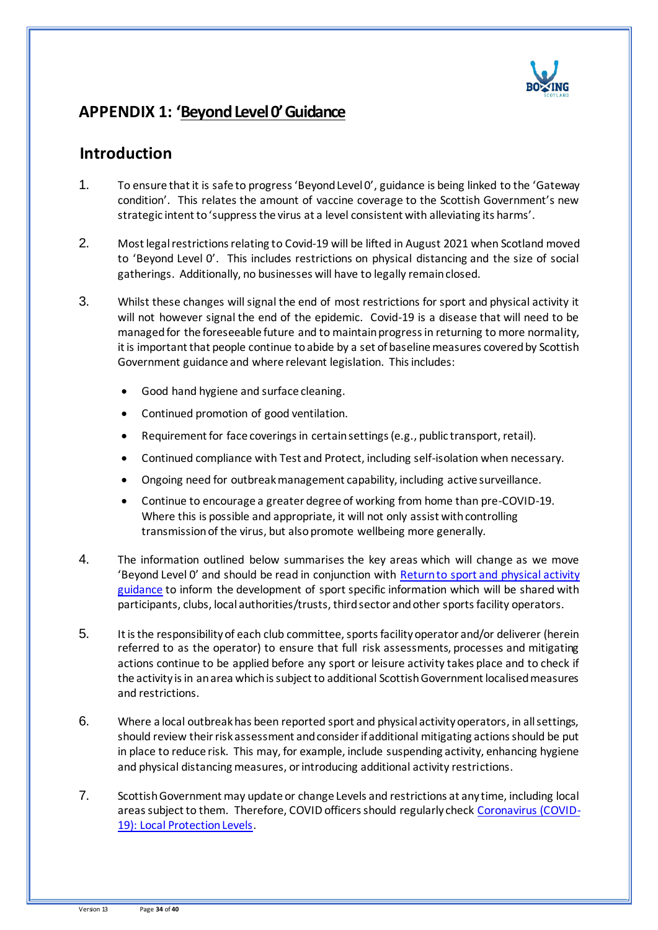

## **APPENDIX 1: 'Beyond Level 0' Guidance**

## **Introduction**

- 1. To ensure that it is safe to progress 'Beyond Level 0', guidance is being linked to the 'Gateway condition'. This relates the amount of vaccine coverage to the Scottish Government's new strategic intent to 'suppress the virus at a level consistent with alleviating its harms'.
- 2. Most legal restrictions relating to Covid-19 will be lifted in August 2021 when Scotland moved to 'Beyond Level 0'. This includes restrictions on physical distancing and the size of social gatherings. Additionally, no businesses will have to legally remain closed.
- 3. Whilst these changes will signal the end of most restrictions for sport and physical activity it will not however signal the end of the epidemic. Covid-19 is a disease that will need to be managed for the foreseeable future and to maintain progress in returning to more normality, it is important that people continue to abide by a set of baseline measures covered by Scottish Government guidance and where relevant legislation. This includes:
	- Good hand hygiene and surface cleaning.
	- Continued promotion of good ventilation.
	- Requirement for face coverings in certain settings (e.g., public transport, retail).
	- Continued compliance with Test and Protect, including self-isolation when necessary.
	- Ongoing need for outbreak management capability, including active surveillance.
	- Continue to encourage a greater degree of working from home than pre-COVID-19. Where this is possible and appropriate, it will not only assist with controlling transmission of the virus, but also promote wellbeing more generally.
- 4. The information outlined below summarises the key areas which will change as we move 'Beyond Level 0' and should be read in conjunction with [Return to sport and physical activity](https://sportscotland.org.uk/covid-19/latest-sport-and-physical-activity-guidance/)  [guidance](https://sportscotland.org.uk/covid-19/latest-sport-and-physical-activity-guidance/) to inform the development of sport specific information which will be shared with participants, clubs, local authorities/trusts, third sector and other sports facility operators.
- 5. It is the responsibility of each club committee, sports facility operator and/or deliverer (herein referred to as the operator) to ensure that full risk assessments, processes and mitigating actions continue to be applied before any sport or leisure activity takes place and to check if the activity is in an area which is subject to additional Scottish Government localised measures and restrictions.
- 6. Where a local outbreak has been reported sport and physical activity operators, in all settings, should review their risk assessment and consider if additional mitigating actions should be put in place to reduce risk. This may, for example, include suspending activity, enhancing hygiene and physical distancing measures, or introducing additional activity restrictions.
- 7. Scottish Government may update or change Levels and restrictions at any time, including local areas subject to them. Therefore, COVID officers should regularly check [Coronavirus \(COVID-](http://www.gov.scot/publications/coronavirus-covid-19-local-measures/)[19\): Local Protection Levels.](http://www.gov.scot/publications/coronavirus-covid-19-local-measures/)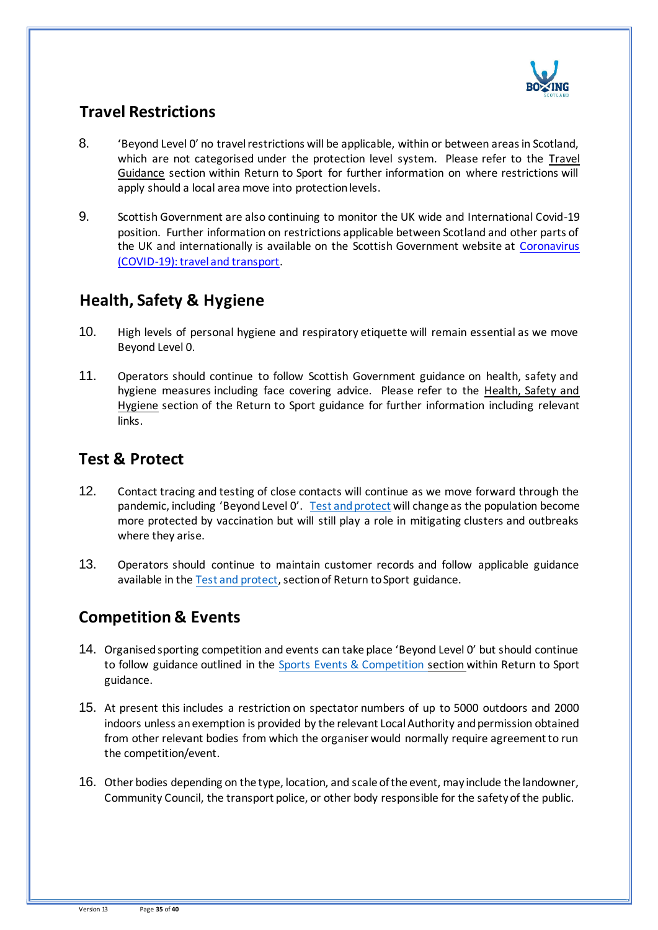

# **Travel Restrictions**

- 8. 'Beyond Level 0' no travel restrictions will be applicable, within or between areas in Scotland, which are not categorised under the protection level system. Please refer to the Travel Guidance section within Return to Sport for further information on where restrictions will apply should a local area move into protection levels.
- 9. Scottish Government are also continuing to monitor the UK wide and International Covid-19 position. Further information on restrictions applicable between Scotland and other parts of the UK and internationally is available on the Scottish Government website at Coronavirus [\(COVID-19\): travel and transport.](https://www.gov.scot/publications/coronavirus-covid-19-guidance-on-travel-and-transport/)

## **Health, Safety & Hygiene**

- 10. High levels of personal hygiene and respiratory etiquette will remain essential as we move Beyond Level 0.
- 11. Operators should continue to follow Scottish Government guidance on health, safety and hygiene measures including face covering advice. Please refer to the Health, Safety and Hygiene section of the Return to Sport guidance for further information including relevant links.

## **Test & Protect**

- 12. Contact tracing and testing of close contacts will continue as we move forward through the pandemic, including 'Beyond Level O'. [Test and protect](https://www.nhsinform.scot/campaigns/test-and-protect) will change as the population become more protected by vaccination but will still play a role in mitigating clusters and outbreaks where they arise.
- 13. Operators should continue to maintain customer records and follow applicable guidance available in the [Test and protect,](https://www.nhsinform.scot/campaigns/test-and-protect) section of Return to Sport guidance.

# **Competition & Events**

- 14. Organised sporting competition and events can take place 'Beyond Level 0' but should continue to follow guidance outlined in the Sports Events & Competition section within Return to Sport guidance.
- 15. At present this includes a restriction on spectator numbers of up to 5000 outdoors and 2000 indoors unless an exemption is provided by the relevant Local Authority and permission obtained from other relevant bodies from which the organiser would normally require agreement to run the competition/event.
- 16. Other bodies depending on the type, location, and scale of the event, may include the landowner, Community Council, the transport police, or other body responsible for the safety of the public.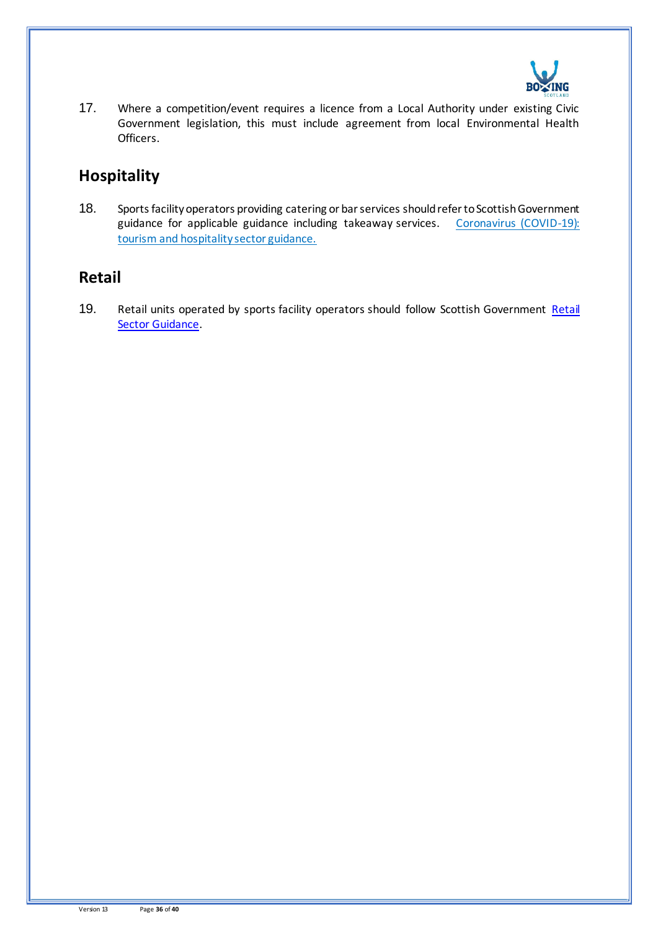

17. Where a competition/event requires a licence from a Local Authority under existing Civic Government legislation, this must include agreement from local Environmental Health Officers.

## **Hospitality**

18. Sports facility operators providing catering or bar services should refer to Scottish Government guidance for applicable guidance including takeaway services. Coronavirus (COVID-19): [tourism and hospitality sector guidance.](http://www.gov.scot/publications/coronavirus-covid-19-tourism-and-hospitality-sector-guidance/pages/hospitality-statutory-guidance/) 

## **Retail**

19. [Retail](http://www.gov.scot/publications/coronavirus-covid-19-retail-sector-guidance/) units operated by sports facility operators should follow Scottish Government Retail [Sector Guidance.](http://www.gov.scot/publications/coronavirus-covid-19-retail-sector-guidance/)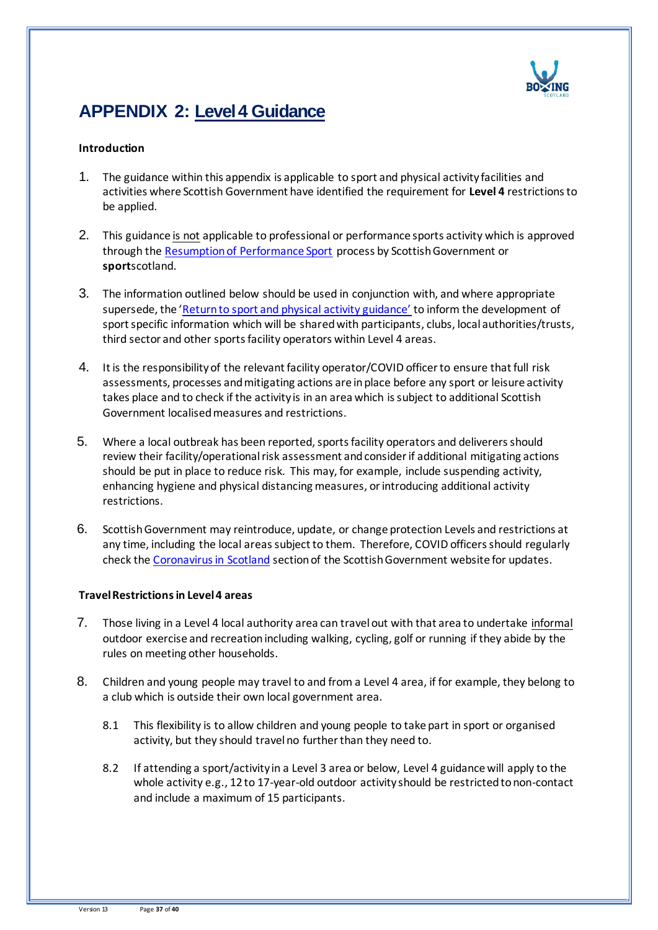

# **APPENDIX 2: Level 4 Guidance**

#### **Introduction**

- 1. The guidance within this appendix is applicable to sport and physical activity facilities and activities where Scottish Government have identified the requirement for **Level 4** restrictions to be applied.
- 2. This guidance is not applicable to professional or performance sports activity which is approved through th[e Resumption of Performance Sport](https://sportscotland.org.uk/covid-19/resumption-of-performance-sport-guidance/) process by Scottish Government or **sport**scotland.
- 3. The information outlined below should be used in conjunction with, and where appropriate supersede, the 'Return to sport and physical activity guidance' to inform the development of sport specific information which will be shared with participants, clubs, local authorities/trusts, third sector and other sports facility operators within Level 4 areas.
- 4. It is the responsibility of the relevant facility operator/COVID officer to ensure that full risk assessments, processes and mitigating actions are in place before any sport or leisure activity takes place and to check if the activity is in an area which is subject to additional Scottish Government localised measures and restrictions.
- 5. Where a local outbreak has been reported, sports facility operators and deliverers should review their facility/operational risk assessment and consider if additional mitigating actions should be put in place to reduce risk. This may, for example, include suspending activity, enhancing hygiene and physical distancing measures, or introducing additional activity restrictions.
- 6. Scottish Government may reintroduce, update, or change protection Levels and restrictions at any time, including the local areas subject to them. Therefore, COVID officers should regularly check th[e Coronavirus in Scotland](https://www.gov.scot/coronavirus-covid-19/) section of the Scottish Government website for updates.

#### **Travel Restrictions in Level 4 areas**

- 7. Those living in a Level 4 local authority area can travel out with that area to undertake informal outdoor exercise and recreation including walking, cycling, golf or running if they abide by the rules on meeting other households.
- 8. Children and young people may travel to and from a Level 4 area, if for example, they belong to a club which is outside their own local government area.
	- 8.1 This flexibility is to allow children and young people to take part in sport or organised activity, but they should travel no further than they need to.
	- 8.2 If attending a sport/activity in a Level 3 area or below, Level 4 guidance will apply to the whole activity e.g., 12 to 17-year-old outdoor activity should be restricted to non-contact and include a maximum of 15 participants.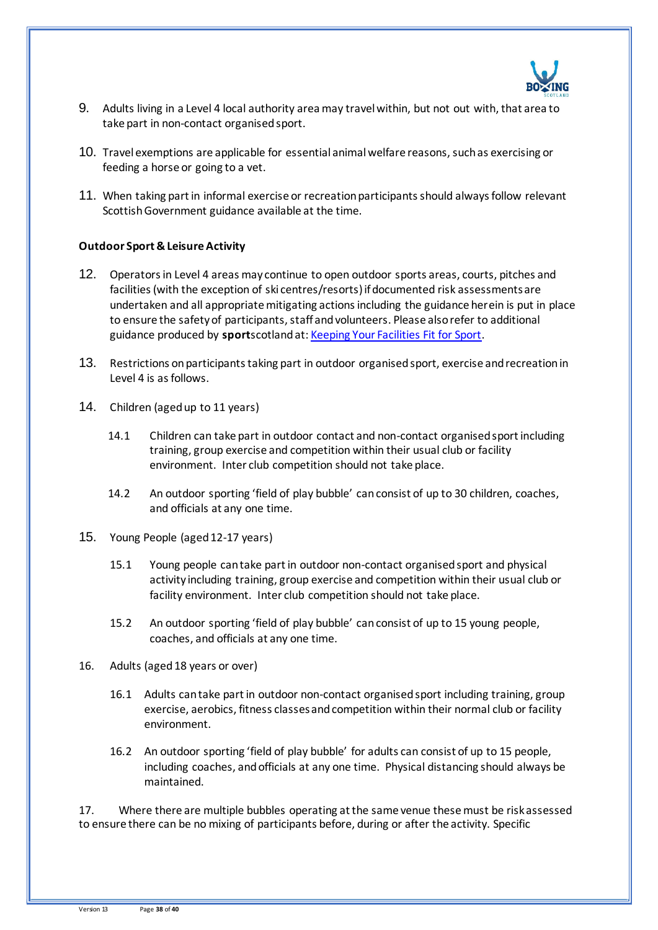

- 9. Adults living in a Level 4 local authority area may travel within, but not out with, that area to take part in non-contact organised sport.
- 10. Travel exemptions are applicable for essential animal welfare reasons, such as exercising or feeding a horse or going to a vet.
- 11. When taking part in informal exercise or recreation participants should always follow relevant Scottish Government guidance available at the time.

#### **Outdoor Sport & Leisure Activity**

- 12. Operators in Level 4 areas may continue to open outdoor sports areas, courts, pitches and facilities (with the exception of ski centres/resorts) if documented risk assessments are undertaken and all appropriate mitigating actions including the guidance herein is put in place to ensure the safety of participants, staff and volunteers. Please also refer to additional guidance produced by **sport**scotland at[: Keeping Your Facilities Fit for Sport.](http://www.sportscotland.org.uk/covid-19/getting-your-facilities-fit-for-sport/)
- 13. Restrictions on participants taking part in outdoor organised sport, exercise and recreation in Level 4 is as follows.
- 14. Children (aged up to 11 years)
	- 14.1 Children can take part in outdoor contact and non-contact organised sport including training, group exercise and competition within their usual club or facility environment. Inter club competition should not take place.
	- 14.2 An outdoor sporting 'field of play bubble' can consist of up to 30 children, coaches, and officials at any one time.
- 15. Young People (aged 12-17 years)
	- 15.1 Young people can take part in outdoor non-contact organised sport and physical activity including training, group exercise and competition within their usual club or facility environment. Inter club competition should not take place.
	- 15.2 An outdoor sporting 'field of play bubble' can consist of up to 15 young people, coaches, and officials at any one time.
- 16. Adults (aged 18 years or over)
	- 16.1 Adults can take part in outdoor non-contact organised sport including training, group exercise, aerobics, fitness classes and competition within their normal club or facility environment.
	- 16.2 An outdoor sporting 'field of play bubble' for adults can consist of up to 15 people, including coaches, and officials at any one time. Physical distancing should always be maintained.

17. Where there are multiple bubbles operating at the same venue these must be risk assessed to ensure there can be no mixing of participants before, during or after the activity. Specific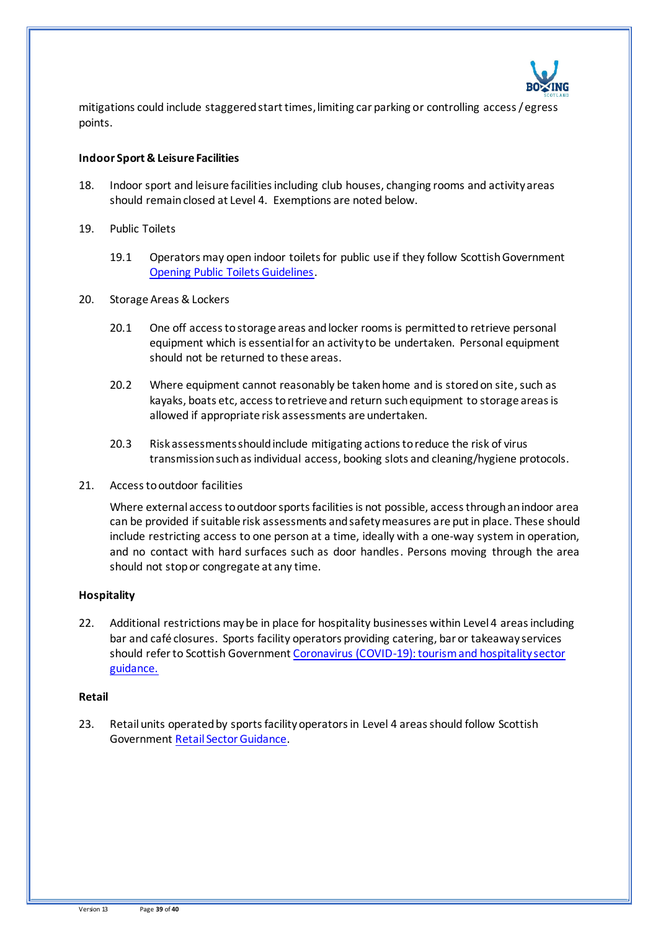

mitigations could include staggered start times, limiting car parking or controlling access / egress points.

#### **Indoor Sport & Leisure Facilities**

- 18. Indoor sport and leisure facilities including club houses, changing rooms and activity areas should remain closed at Level 4. Exemptions are noted below.
- 19. Public Toilets
	- 19.1 Operators may open indoor toilets for public use if they follow Scottish Government [Opening Public Toilets Guidelines.](https://protect-eu.mimecast.com/s/aBXuCNx63fxoygsmfSPz?domain=gov.scot/)
- 20. Storage Areas & Lockers
	- 20.1 One off access to storage areas and locker rooms is permitted to retrieve personal equipment which is essential for an activity to be undertaken. Personal equipment should not be returned to these areas.
	- 20.2 Where equipment cannot reasonably be taken home and is stored on site, such as kayaks, boats etc, access to retrieve and return such equipment to storage areas is allowed if appropriate risk assessments are undertaken.
	- 20.3 Risk assessments should include mitigating actions to reduce the risk of virus transmission such as individual access, booking slots and cleaning/hygiene protocols.
- 21. Access to outdoor facilities

Where external access to outdoor sports facilities is not possible, access through an indoor area can be provided if suitable risk assessments and safety measures are put in place. These should include restricting access to one person at a time, ideally with a one-way system in operation, and no contact with hard surfaces such as door handles. Persons moving through the area should not stop or congregate at any time.

#### **Hospitality**

22. Additional restrictions may be in place for hospitality businesses within Level 4 areas including bar and café closures. Sports facility operators providing catering, bar or takeaway services should refer to Scottish Government [Coronavirus \(COVID-19\): tourism and hospitality sector](http://www.gov.scot/publications/coronavirus-covid-19-tourism-and-hospitality-sector-guidance/pages/hospitality-statutory-guidance/)  [guidance.](http://www.gov.scot/publications/coronavirus-covid-19-tourism-and-hospitality-sector-guidance/pages/hospitality-statutory-guidance/) 

#### **Retail**

23. Retail units operated by sports facility operators in Level 4 areas should follow Scottish Government [Retail Sector Guidance.](http://www.gov.scot/publications/coronavirus-covid-19-retail-sector-guidance/)